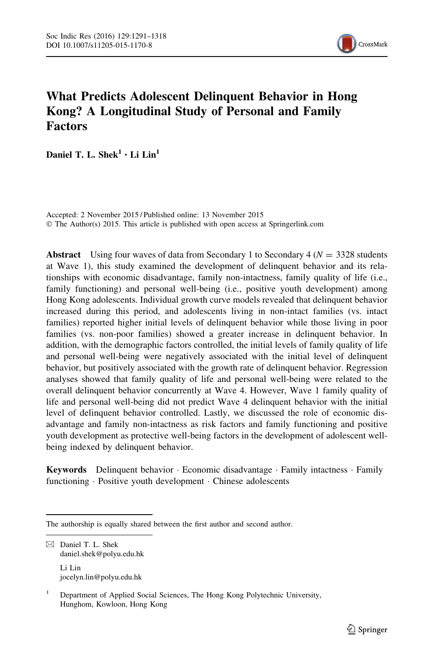

# What Predicts Adolescent Delinquent Behavior in Hong Kong? A Longitudinal Study of Personal and Family Factors

Daniel T. L.  $Shek<sup>1</sup> \cdot Li Lin<sup>1</sup>$ 

Accepted: 2 November 2015 / Published online: 13 November 2015 © The Author(s) 2015. This article is published with open access at Springerlink.com

Abstract Using four waves of data from Secondary 1 to Secondary 4 ( $N = 3328$  students at Wave 1), this study examined the development of delinquent behavior and its relationships with economic disadvantage, family non-intactness, family quality of life (i.e., family functioning) and personal well-being (i.e., positive youth development) among Hong Kong adolescents. Individual growth curve models revealed that delinquent behavior increased during this period, and adolescents living in non-intact families (vs. intact families) reported higher initial levels of delinquent behavior while those living in poor families (vs. non-poor families) showed a greater increase in delinquent behavior. In addition, with the demographic factors controlled, the initial levels of family quality of life and personal well-being were negatively associated with the initial level of delinquent behavior, but positively associated with the growth rate of delinquent behavior. Regression analyses showed that family quality of life and personal well-being were related to the overall delinquent behavior concurrently at Wave 4. However, Wave 1 family quality of life and personal well-being did not predict Wave 4 delinquent behavior with the initial level of delinquent behavior controlled. Lastly, we discussed the role of economic disadvantage and family non-intactness as risk factors and family functioning and positive youth development as protective well-being factors in the development of adolescent wellbeing indexed by delinquent behavior.

Keywords Delinquent behavior · Economic disadvantage · Family intactness · Family functioning - Positive youth development - Chinese adolescents

The authorship is equally shared between the first author and second author.

 $\boxtimes$  Daniel T. L. Shek daniel.shek@polyu.edu.hk Li Lin jocelyn.lin@polyu.edu.hk

<sup>&</sup>lt;sup>1</sup> Department of Applied Social Sciences, The Hong Kong Polytechnic University, Hunghom, Kowloon, Hong Kong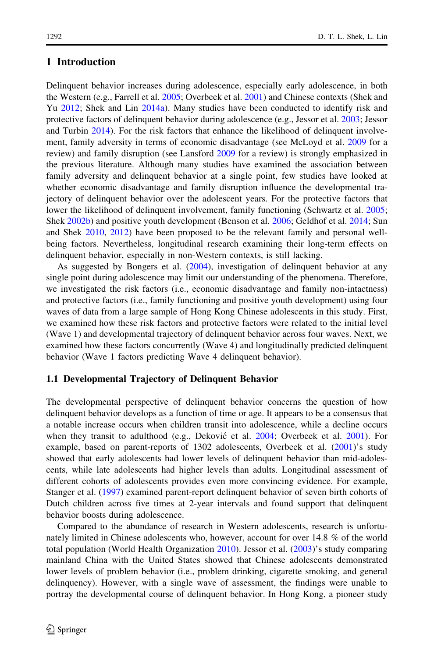### 1 Introduction

Delinquent behavior increases during adolescence, especially early adolescence, in both the Western (e.g., Farrell et al. [2005](#page-24-0); Overbeek et al. [2001\)](#page-25-0) and Chinese contexts (Shek and Yu [2012;](#page-26-0) Shek and Lin [2014a\)](#page-26-0). Many studies have been conducted to identify risk and protective factors of delinquent behavior during adolescence (e.g., Jessor et al. [2003;](#page-24-0) Jessor and Turbin [2014\)](#page-24-0). For the risk factors that enhance the likelihood of delinquent involvement, family adversity in terms of economic disadvantage (see McLoyd et al. [2009](#page-25-0) for a review) and family disruption (see Lansford [2009](#page-25-0) for a review) is strongly emphasized in the previous literature. Although many studies have examined the association between family adversity and delinquent behavior at a single point, few studies have looked at whether economic disadvantage and family disruption influence the developmental trajectory of delinquent behavior over the adolescent years. For the protective factors that lower the likelihood of delinquent involvement, family functioning (Schwartz et al. [2005;](#page-26-0) Shek [2002b\)](#page-26-0) and positive youth development (Benson et al. [2006;](#page-23-0) Geldhof et al. [2014;](#page-24-0) Sun and Shek [2010,](#page-26-0) [2012](#page-26-0)) have been proposed to be the relevant family and personal wellbeing factors. Nevertheless, longitudinal research examining their long-term effects on delinquent behavior, especially in non-Western contexts, is still lacking.

As suggested by Bongers et al. ([2004\)](#page-23-0), investigation of delinquent behavior at any single point during adolescence may limit our understanding of the phenomena. Therefore, we investigated the risk factors (i.e., economic disadvantage and family non-intactness) and protective factors (i.e., family functioning and positive youth development) using four waves of data from a large sample of Hong Kong Chinese adolescents in this study. First, we examined how these risk factors and protective factors were related to the initial level (Wave 1) and developmental trajectory of delinquent behavior across four waves. Next, we examined how these factors concurrently (Wave 4) and longitudinally predicted delinquent behavior (Wave 1 factors predicting Wave 4 delinquent behavior).

#### 1.1 Developmental Trajectory of Delinquent Behavior

The developmental perspective of delinquent behavior concerns the question of how delinquent behavior develops as a function of time or age. It appears to be a consensus that a notable increase occurs when children transit into adolescence, while a decline occurs when they transit to adulthood (e.g., Deković et al.  $2004$ ; Overbeek et al.  $2001$ ). For example, based on parent-reports of 1302 adolescents, Overbeek et al. ([2001\)](#page-25-0)'s study showed that early adolescents had lower levels of delinquent behavior than mid-adolescents, while late adolescents had higher levels than adults. Longitudinal assessment of different cohorts of adolescents provides even more convincing evidence. For example, Stanger et al. [\(1997](#page-26-0)) examined parent-report delinquent behavior of seven birth cohorts of Dutch children across five times at 2-year intervals and found support that delinquent behavior boosts during adolescence.

Compared to the abundance of research in Western adolescents, research is unfortunately limited in Chinese adolescents who, however, account for over 14.8 % of the world total population (World Health Organization [2010\)](#page-27-0). Jessor et al. [\(2003](#page-24-0))'s study comparing mainland China with the United States showed that Chinese adolescents demonstrated lower levels of problem behavior (i.e., problem drinking, cigarette smoking, and general delinquency). However, with a single wave of assessment, the findings were unable to portray the developmental course of delinquent behavior. In Hong Kong, a pioneer study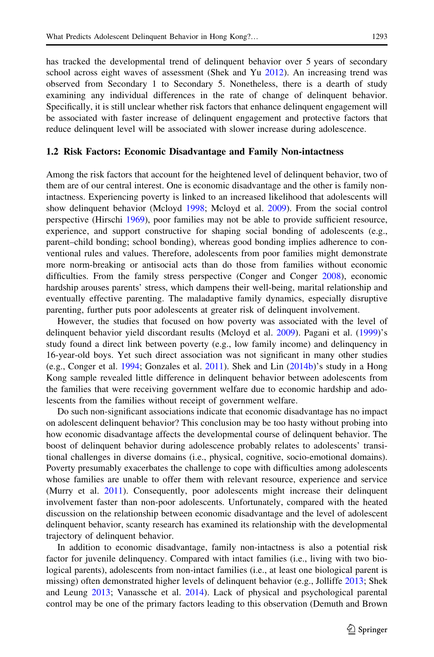has tracked the developmental trend of delinquent behavior over 5 years of secondary school across eight waves of assessment (Shek and Yu [2012](#page-26-0)). An increasing trend was observed from Secondary 1 to Secondary 5. Nonetheless, there is a dearth of study examining any individual differences in the rate of change of delinquent behavior. Specifically, it is still unclear whether risk factors that enhance delinquent engagement will be associated with faster increase of delinquent engagement and protective factors that reduce delinquent level will be associated with slower increase during adolescence.

#### 1.2 Risk Factors: Economic Disadvantage and Family Non-intactness

Among the risk factors that account for the heightened level of delinquent behavior, two of them are of our central interest. One is economic disadvantage and the other is family nonintactness. Experiencing poverty is linked to an increased likelihood that adolescents will show delinquent behavior (Mcloyd [1998](#page-25-0); Mcloyd et al. [2009](#page-25-0)). From the social control perspective (Hirschi [1969\)](#page-24-0), poor families may not be able to provide sufficient resource, experience, and support constructive for shaping social bonding of adolescents (e.g., parent–child bonding; school bonding), whereas good bonding implies adherence to conventional rules and values. Therefore, adolescents from poor families might demonstrate more norm-breaking or antisocial acts than do those from families without economic difficulties. From the family stress perspective (Conger and Conger [2008](#page-24-0)), economic hardship arouses parents' stress, which dampens their well-being, marital relationship and eventually effective parenting. The maladaptive family dynamics, especially disruptive parenting, further puts poor adolescents at greater risk of delinquent involvement.

However, the studies that focused on how poverty was associated with the level of delinquent behavior yield discordant results (Mcloyd et al. [2009](#page-25-0)). Pagani et al. ([1999\)](#page-25-0)'s study found a direct link between poverty (e.g., low family income) and delinquency in 16-year-old boys. Yet such direct association was not significant in many other studies (e.g., Conger et al. [1994](#page-24-0); Gonzales et al. [2011\)](#page-24-0). Shek and Lin ([2014b](#page-26-0))'s study in a Hong Kong sample revealed little difference in delinquent behavior between adolescents from the families that were receiving government welfare due to economic hardship and adolescents from the families without receipt of government welfare.

Do such non-significant associations indicate that economic disadvantage has no impact on adolescent delinquent behavior? This conclusion may be too hasty without probing into how economic disadvantage affects the developmental course of delinquent behavior. The boost of delinquent behavior during adolescence probably relates to adolescents' transitional challenges in diverse domains (i.e., physical, cognitive, socio-emotional domains). Poverty presumably exacerbates the challenge to cope with difficulties among adolescents whose families are unable to offer them with relevant resource, experience and service (Murry et al. [2011\)](#page-25-0). Consequently, poor adolescents might increase their delinquent involvement faster than non-poor adolescents. Unfortunately, compared with the heated discussion on the relationship between economic disadvantage and the level of adolescent delinquent behavior, scanty research has examined its relationship with the developmental trajectory of delinquent behavior.

In addition to economic disadvantage, family non-intactness is also a potential risk factor for juvenile delinquency. Compared with intact families (i.e., living with two biological parents), adolescents from non-intact families (i.e., at least one biological parent is missing) often demonstrated higher levels of delinquent behavior (e.g., Jolliffe [2013](#page-25-0); Shek and Leung [2013;](#page-26-0) Vanassche et al. [2014\)](#page-26-0). Lack of physical and psychological parental control may be one of the primary factors leading to this observation (Demuth and Brown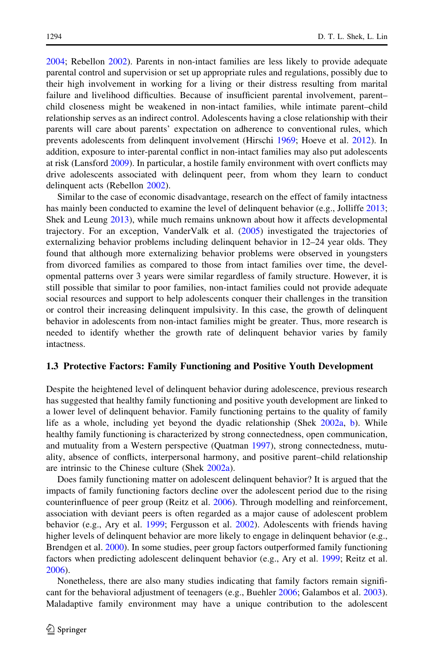[2004;](#page-24-0) Rebellon [2002\)](#page-25-0). Parents in non-intact families are less likely to provide adequate parental control and supervision or set up appropriate rules and regulations, possibly due to their high involvement in working for a living or their distress resulting from marital failure and livelihood difficulties. Because of insufficient parental involvement, parent– child closeness might be weakened in non-intact families, while intimate parent–child relationship serves as an indirect control. Adolescents having a close relationship with their parents will care about parents' expectation on adherence to conventional rules, which prevents adolescents from delinquent involvement (Hirschi [1969](#page-24-0); Hoeve et al. [2012\)](#page-24-0). In addition, exposure to inter-parental conflict in non-intact families may also put adolescents at risk (Lansford [2009\)](#page-25-0). In particular, a hostile family environment with overt conflicts may drive adolescents associated with delinquent peer, from whom they learn to conduct delinquent acts (Rebellon [2002](#page-25-0)).

Similar to the case of economic disadvantage, research on the effect of family intactness has mainly been conducted to examine the level of delinquent behavior (e.g., Jolliffe [2013;](#page-25-0) Shek and Leung [2013\)](#page-26-0), while much remains unknown about how it affects developmental trajectory. For an exception, VanderValk et al. ([2005\)](#page-26-0) investigated the trajectories of externalizing behavior problems including delinquent behavior in 12–24 year olds. They found that although more externalizing behavior problems were observed in youngsters from divorced families as compared to those from intact families over time, the developmental patterns over 3 years were similar regardless of family structure. However, it is still possible that similar to poor families, non-intact families could not provide adequate social resources and support to help adolescents conquer their challenges in the transition or control their increasing delinquent impulsivity. In this case, the growth of delinquent behavior in adolescents from non-intact families might be greater. Thus, more research is needed to identify whether the growth rate of delinquent behavior varies by family intactness.

#### 1.3 Protective Factors: Family Functioning and Positive Youth Development

Despite the heightened level of delinquent behavior during adolescence, previous research has suggested that healthy family functioning and positive youth development are linked to a lower level of delinquent behavior. Family functioning pertains to the quality of family life as a whole, including yet beyond the dyadic relationship (Shek [2002a,](#page-26-0) [b](#page-26-0)). While healthy family functioning is characterized by strong connectedness, open communication, and mutuality from a Western perspective (Quatman [1997\)](#page-25-0), strong connectedness, mutuality, absence of conflicts, interpersonal harmony, and positive parent–child relationship are intrinsic to the Chinese culture (Shek [2002a\)](#page-26-0).

Does family functioning matter on adolescent delinquent behavior? It is argued that the impacts of family functioning factors decline over the adolescent period due to the rising counterinfluence of peer group (Reitz et al. [2006\)](#page-25-0). Through modelling and reinforcement, association with deviant peers is often regarded as a major cause of adolescent problem behavior (e.g., Ary et al. [1999;](#page-23-0) Fergusson et al. [2002\)](#page-24-0). Adolescents with friends having higher levels of delinquent behavior are more likely to engage in delinquent behavior (e.g., Brendgen et al. [2000\)](#page-23-0). In some studies, peer group factors outperformed family functioning factors when predicting adolescent delinquent behavior (e.g., Ary et al. [1999;](#page-23-0) Reitz et al. [2006\)](#page-25-0).

Nonetheless, there are also many studies indicating that family factors remain significant for the behavioral adjustment of teenagers (e.g., Buehler [2006](#page-23-0); Galambos et al. [2003](#page-24-0)). Maladaptive family environment may have a unique contribution to the adolescent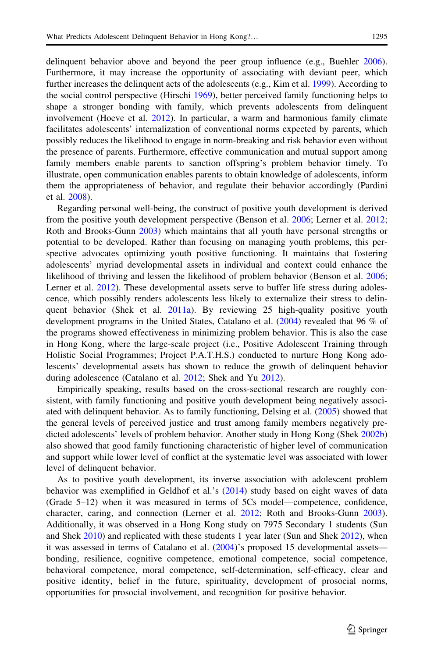delinquent behavior above and beyond the peer group influence (e.g., Buehler [2006](#page-23-0)). Furthermore, it may increase the opportunity of associating with deviant peer, which further increases the delinquent acts of the adolescents (e.g., Kim et al. [1999](#page-25-0)). According to the social control perspective (Hirschi [1969](#page-24-0)), better perceived family functioning helps to shape a stronger bonding with family, which prevents adolescents from delinquent involvement (Hoeve et al. [2012\)](#page-24-0). In particular, a warm and harmonious family climate facilitates adolescents' internalization of conventional norms expected by parents, which possibly reduces the likelihood to engage in norm-breaking and risk behavior even without the presence of parents. Furthermore, effective communication and mutual support among family members enable parents to sanction offspring's problem behavior timely. To illustrate, open communication enables parents to obtain knowledge of adolescents, inform them the appropriateness of behavior, and regulate their behavior accordingly (Pardini et al. [2008](#page-25-0)).

Regarding personal well-being, the construct of positive youth development is derived from the positive youth development perspective (Benson et al. [2006;](#page-23-0) Lerner et al. [2012;](#page-25-0) Roth and Brooks-Gunn [2003\)](#page-26-0) which maintains that all youth have personal strengths or potential to be developed. Rather than focusing on managing youth problems, this perspective advocates optimizing youth positive functioning. It maintains that fostering adolescents' myriad developmental assets in individual and context could enhance the likelihood of thriving and lessen the likelihood of problem behavior (Benson et al. [2006;](#page-23-0) Lerner et al. [2012](#page-25-0)). These developmental assets serve to buffer life stress during adolescence, which possibly renders adolescents less likely to externalize their stress to delinquent behavior (Shek et al. [2011a](#page-26-0)). By reviewing 25 high-quality positive youth development programs in the United States, Catalano et al. [\(2004\)](#page-23-0) revealed that 96 % of the programs showed effectiveness in minimizing problem behavior. This is also the case in Hong Kong, where the large-scale project (i.e., Positive Adolescent Training through Holistic Social Programmes; Project P.A.T.H.S.) conducted to nurture Hong Kong adolescents' developmental assets has shown to reduce the growth of delinquent behavior during adolescence (Catalano et al. [2012](#page-23-0); Shek and Yu [2012\)](#page-26-0).

Empirically speaking, results based on the cross-sectional research are roughly consistent, with family functioning and positive youth development being negatively associated with delinquent behavior. As to family functioning, Delsing et al. [\(2005\)](#page-24-0) showed that the general levels of perceived justice and trust among family members negatively predicted adolescents' levels of problem behavior. Another study in Hong Kong (Shek [2002b](#page-26-0)) also showed that good family functioning characteristic of higher level of communication and support while lower level of conflict at the systematic level was associated with lower level of delinquent behavior.

As to positive youth development, its inverse association with adolescent problem behavior was exemplified in Geldhof et al.'s [\(2014](#page-24-0)) study based on eight waves of data (Grade 5–12) when it was measured in terms of 5Cs model—competence, confidence, character, caring, and connection (Lerner et al. [2012;](#page-25-0) Roth and Brooks-Gunn [2003](#page-26-0)). Additionally, it was observed in a Hong Kong study on 7975 Secondary 1 students (Sun and Shek [2010](#page-26-0)) and replicated with these students 1 year later (Sun and Shek [2012](#page-26-0)), when it was assessed in terms of Catalano et al. ([2004\)](#page-23-0)'s proposed 15 developmental assets bonding, resilience, cognitive competence, emotional competence, social competence, behavioral competence, moral competence, self-determination, self-efficacy, clear and positive identity, belief in the future, spirituality, development of prosocial norms, opportunities for prosocial involvement, and recognition for positive behavior.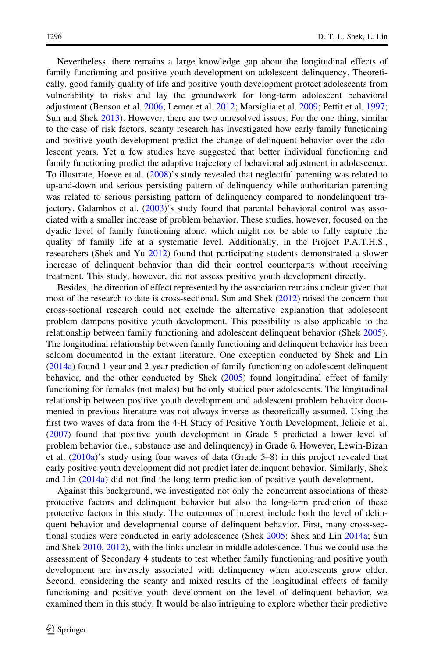Nevertheless, there remains a large knowledge gap about the longitudinal effects of family functioning and positive youth development on adolescent delinquency. Theoretically, good family quality of life and positive youth development protect adolescents from vulnerability to risks and lay the groundwork for long-term adolescent behavioral adjustment (Benson et al. [2006](#page-23-0); Lerner et al. [2012](#page-25-0); Marsiglia et al. [2009](#page-25-0); Pettit et al. [1997;](#page-25-0) Sun and Shek [2013](#page-26-0)). However, there are two unresolved issues. For the one thing, similar to the case of risk factors, scanty research has investigated how early family functioning and positive youth development predict the change of delinquent behavior over the adolescent years. Yet a few studies have suggested that better individual functioning and family functioning predict the adaptive trajectory of behavioral adjustment in adolescence. To illustrate, Hoeve et al. ([2008](#page-24-0))'s study revealed that neglectful parenting was related to up-and-down and serious persisting pattern of delinquency while authoritarian parenting was related to serious persisting pattern of delinquency compared to nondelinquent trajectory. Galambos et al. [\(2003](#page-24-0))'s study found that parental behavioral control was associated with a smaller increase of problem behavior. These studies, however, focused on the dyadic level of family functioning alone, which might not be able to fully capture the quality of family life at a systematic level. Additionally, in the Project P.A.T.H.S., researchers (Shek and Yu [2012](#page-26-0)) found that participating students demonstrated a slower increase of delinquent behavior than did their control counterparts without receiving treatment. This study, however, did not assess positive youth development directly.

Besides, the direction of effect represented by the association remains unclear given that most of the research to date is cross-sectional. Sun and Shek [\(2012\)](#page-26-0) raised the concern that cross-sectional research could not exclude the alternative explanation that adolescent problem dampens positive youth development. This possibility is also applicable to the relationship between family functioning and adolescent delinquent behavior (Shek [2005](#page-26-0)). The longitudinal relationship between family functioning and delinquent behavior has been seldom documented in the extant literature. One exception conducted by Shek and Lin ([2014a](#page-26-0)) found 1-year and 2-year prediction of family functioning on adolescent delinquent behavior, and the other conducted by Shek [\(2005](#page-26-0)) found longitudinal effect of family functioning for females (not males) but he only studied poor adolescents. The longitudinal relationship between positive youth development and adolescent problem behavior documented in previous literature was not always inverse as theoretically assumed. Using the first two waves of data from the 4-H Study of Positive Youth Development, Jelicic et al. ([2007\)](#page-24-0) found that positive youth development in Grade 5 predicted a lower level of problem behavior (i.e., substance use and delinquency) in Grade 6. However, Lewin-Bizan et al. ([2010a](#page-25-0))'s study using four waves of data (Grade 5–8) in this project revealed that early positive youth development did not predict later delinquent behavior. Similarly, Shek and Lin [\(2014a](#page-26-0)) did not find the long-term prediction of positive youth development.

Against this background, we investigated not only the concurrent associations of these protective factors and delinquent behavior but also the long-term prediction of these protective factors in this study. The outcomes of interest include both the level of delinquent behavior and developmental course of delinquent behavior. First, many cross-sec-tional studies were conducted in early adolescence (Shek [2005;](#page-26-0) Shek and Lin [2014a](#page-26-0); Sun and Shek [2010](#page-26-0), [2012\)](#page-26-0), with the links unclear in middle adolescence. Thus we could use the assessment of Secondary 4 students to test whether family functioning and positive youth development are inversely associated with delinquency when adolescents grow older. Second, considering the scanty and mixed results of the longitudinal effects of family functioning and positive youth development on the level of delinquent behavior, we examined them in this study. It would be also intriguing to explore whether their predictive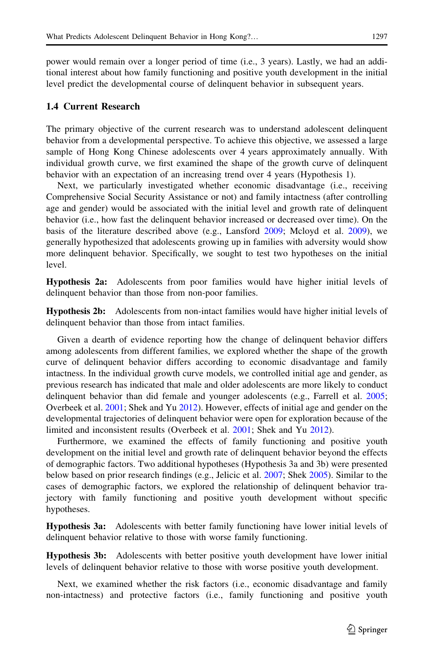power would remain over a longer period of time (i.e., 3 years). Lastly, we had an additional interest about how family functioning and positive youth development in the initial level predict the developmental course of delinquent behavior in subsequent years.

#### 1.4 Current Research

The primary objective of the current research was to understand adolescent delinquent behavior from a developmental perspective. To achieve this objective, we assessed a large sample of Hong Kong Chinese adolescents over 4 years approximately annually. With individual growth curve, we first examined the shape of the growth curve of delinquent behavior with an expectation of an increasing trend over 4 years (Hypothesis 1).

Next, we particularly investigated whether economic disadvantage (i.e., receiving Comprehensive Social Security Assistance or not) and family intactness (after controlling age and gender) would be associated with the initial level and growth rate of delinquent behavior (i.e., how fast the delinquent behavior increased or decreased over time). On the basis of the literature described above (e.g., Lansford [2009;](#page-25-0) Mcloyd et al. [2009\)](#page-25-0), we generally hypothesized that adolescents growing up in families with adversity would show more delinquent behavior. Specifically, we sought to test two hypotheses on the initial level.

Hypothesis 2a: Adolescents from poor families would have higher initial levels of delinquent behavior than those from non-poor families.

Hypothesis 2b: Adolescents from non-intact families would have higher initial levels of delinquent behavior than those from intact families.

Given a dearth of evidence reporting how the change of delinquent behavior differs among adolescents from different families, we explored whether the shape of the growth curve of delinquent behavior differs according to economic disadvantage and family intactness. In the individual growth curve models, we controlled initial age and gender, as previous research has indicated that male and older adolescents are more likely to conduct delinquent behavior than did female and younger adolescents (e.g., Farrell et al. [2005;](#page-24-0) Overbeek et al. [2001;](#page-25-0) Shek and Yu [2012](#page-26-0)). However, effects of initial age and gender on the developmental trajectories of delinquent behavior were open for exploration because of the limited and inconsistent results (Overbeek et al. [2001;](#page-25-0) Shek and Yu [2012](#page-26-0)).

Furthermore, we examined the effects of family functioning and positive youth development on the initial level and growth rate of delinquent behavior beyond the effects of demographic factors. Two additional hypotheses (Hypothesis 3a and 3b) were presented below based on prior research findings (e.g., Jelicic et al. [2007](#page-24-0); Shek [2005](#page-26-0)). Similar to the cases of demographic factors, we explored the relationship of delinquent behavior trajectory with family functioning and positive youth development without specific hypotheses.

Hypothesis 3a: Adolescents with better family functioning have lower initial levels of delinquent behavior relative to those with worse family functioning.

Hypothesis 3b: Adolescents with better positive youth development have lower initial levels of delinquent behavior relative to those with worse positive youth development.

Next, we examined whether the risk factors (i.e., economic disadvantage and family non-intactness) and protective factors (i.e., family functioning and positive youth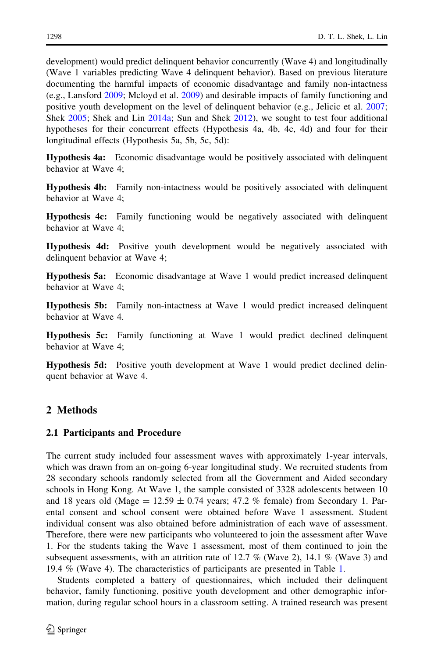development) would predict delinquent behavior concurrently (Wave 4) and longitudinally (Wave 1 variables predicting Wave 4 delinquent behavior). Based on previous literature documenting the harmful impacts of economic disadvantage and family non-intactness (e.g., Lansford [2009;](#page-25-0) Mcloyd et al. [2009\)](#page-25-0) and desirable impacts of family functioning and positive youth development on the level of delinquent behavior (e.g., Jelicic et al. [2007;](#page-24-0) Shek [2005](#page-26-0); Shek and Lin [2014a](#page-26-0); Sun and Shek [2012\)](#page-26-0), we sought to test four additional hypotheses for their concurrent effects (Hypothesis 4a, 4b, 4c, 4d) and four for their longitudinal effects (Hypothesis 5a, 5b, 5c, 5d):

Hypothesis 4a: Economic disadvantage would be positively associated with delinquent behavior at Wave 4;

Hypothesis 4b: Family non-intactness would be positively associated with delinquent behavior at Wave 4;

Hypothesis 4c: Family functioning would be negatively associated with delinquent behavior at Wave 4;

Hypothesis 4d: Positive youth development would be negatively associated with delinquent behavior at Wave 4;

Hypothesis 5a: Economic disadvantage at Wave 1 would predict increased delinquent behavior at Wave 4;

Hypothesis 5b: Family non-intactness at Wave 1 would predict increased delinquent behavior at Wave 4.

Hypothesis 5c: Family functioning at Wave 1 would predict declined delinquent behavior at Wave 4;

Hypothesis 5d: Positive youth development at Wave 1 would predict declined delinquent behavior at Wave 4.

# 2 Methods

### 2.1 Participants and Procedure

The current study included four assessment waves with approximately 1-year intervals, which was drawn from an on-going 6-year longitudinal study. We recruited students from 28 secondary schools randomly selected from all the Government and Aided secondary schools in Hong Kong. At Wave 1, the sample consisted of 3328 adolescents between 10 and 18 years old (Mage  $= 12.59 \pm 0.74$  years; 47.2 % female) from Secondary 1. Parental consent and school consent were obtained before Wave 1 assessment. Student individual consent was also obtained before administration of each wave of assessment. Therefore, there were new participants who volunteered to join the assessment after Wave 1. For the students taking the Wave 1 assessment, most of them continued to join the subsequent assessments, with an attrition rate of 12.7 % (Wave 2), 14.1 % (Wave 3) and 19.4 % (Wave 4). The characteristics of participants are presented in Table [1.](#page-8-0)

Students completed a battery of questionnaires, which included their delinquent behavior, family functioning, positive youth development and other demographic information, during regular school hours in a classroom setting. A trained research was present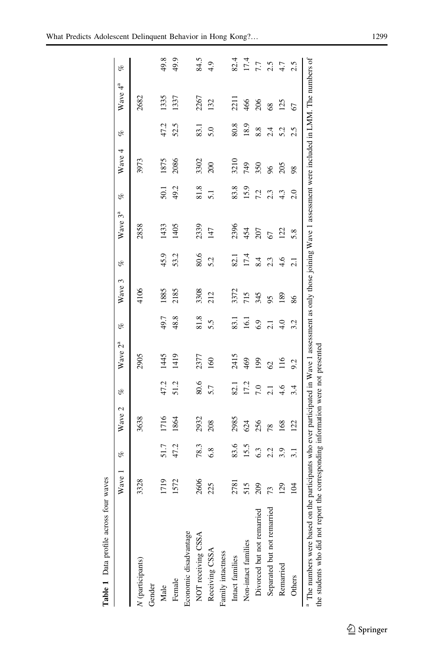<span id="page-8-0"></span>

| Table 1 Data profile across four waves                                                                                                                                                                                 |                             |      |                                              |                  |               |            |        |                |            |      |               |      |                    |          |
|------------------------------------------------------------------------------------------------------------------------------------------------------------------------------------------------------------------------|-----------------------------|------|----------------------------------------------|------------------|---------------|------------|--------|----------------|------------|------|---------------|------|--------------------|----------|
|                                                                                                                                                                                                                        | Wave 1                      | of   | Wave 2                                       | B,               | Wave $2^a$    | of         | Wave 3 | of             | 3ª<br>Wave | of   | Wave 4        | of   | $\ddot{4}$<br>Wave | of       |
| N (participants)                                                                                                                                                                                                       | 3328                        |      | 3638                                         |                  | 2905          |            | 4106   |                | 2858       |      | 3973          |      | 2682               |          |
| Gender                                                                                                                                                                                                                 |                             |      |                                              |                  |               |            |        |                |            |      |               |      |                    |          |
| Male                                                                                                                                                                                                                   | 719                         | 51.7 | 1716                                         | 47.2             | 145           | 49.7       | 1885   | 45.9           | 1433       | 50.1 | 1875          | 47.2 | 1335               | 49.8     |
| Female                                                                                                                                                                                                                 | 572                         | 47.2 | 1864                                         | 51.2             | 1419          | 48.8       | 2185   | 53.2           | 1405       | 49.2 | 2086          | 52.5 | 1337               | 49.9     |
| Economic disadvantage                                                                                                                                                                                                  |                             |      |                                              |                  |               |            |        |                |            |      |               |      |                    |          |
| NOT receiving CSSA                                                                                                                                                                                                     | 2606                        | 78.3 | 2932                                         | 80.6             | 2377          | 81.8       | 3308   | 80.6           | 2339       | 81.8 | 3302          | 83.1 | 2267               | 84.5     |
| Receiving CSSA                                                                                                                                                                                                         | 225                         | 6.8  | 208                                          | 5.7              | 160           | 5.5        | 212    | 5.2            | 147        | 5.1  | 200           | 5.0  | 132                | $^{4.9}$ |
| Family intactness                                                                                                                                                                                                      |                             |      |                                              |                  |               |            |        |                |            |      |               |      |                    |          |
| Intact families                                                                                                                                                                                                        | 2781                        | 83.6 | 2985                                         | 82.1             | 2415          | 83.1       | 3372   | 82.1           | 2396       | 83.8 | 3210          | 80.8 | 2211               | 82.4     |
| Non-intact families                                                                                                                                                                                                    | 515                         | 15.5 | 624                                          | 17.2             | 469           | 16.1       | 715    | 17.4           | 454        | 15.9 | 749           | 18.9 | 466                | 17.4     |
| Divorced but not remarried                                                                                                                                                                                             | 209                         | 6.3  | 256                                          | 7.0              | 199           | 6.9        | 345    | 8.4            | 207        | 7.2  | 350           | 8.8  | 206                | 7.7      |
| Separated but not remarried                                                                                                                                                                                            | 73                          | 2.2  | 78                                           | $\overline{2.1}$ | $\mathcal{O}$ | 2.1        | 95     | 2.3            | 67         | 2.3  | 96            | 2.4  | 68                 | 2.5      |
| Remarried                                                                                                                                                                                                              | $\mathcal{L}^{\mathcal{G}}$ | 3.9  | 168                                          | 4.6              | 116           | $\ddot{ }$ | 189    | 4.6            | 122        | 4.3  | 205           | 5.2  | 125                | 4.7      |
| Others                                                                                                                                                                                                                 | $\overline{a}$              | 3.1  | 122                                          | 3.4              | 9.2           | 3.2        | 86     | $\overline{c}$ | 5.8        | 2.0  | $\frac{8}{2}$ | 2.5  | 67                 | 2.5      |
| <sup>4</sup> The numbers were based on the participants who ever participated in Wave I assessment as only those joining Wave I assessment were included in LMM. The numbers of<br>the students who did not report the |                             |      | corresponding information were not presented |                  |               |            |        |                |            |      |               |      |                    |          |

| ;<br>i |
|--------|
| ne Ce  |
| ì<br>ć |
| í<br>t |
|        |
|        |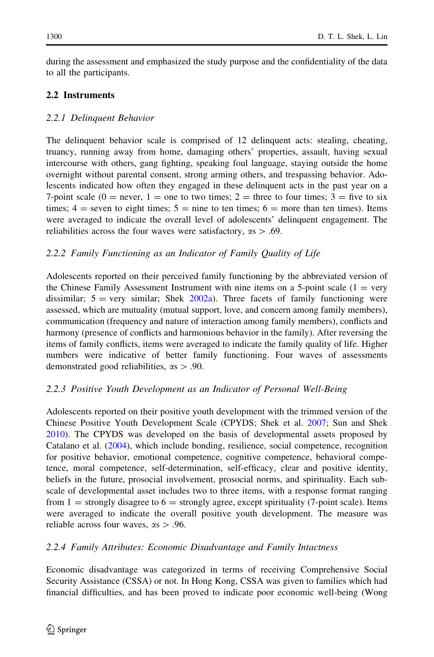during the assessment and emphasized the study purpose and the confidentiality of the data to all the participants.

# 2.2 Instruments

# 2.2.1 Delinquent Behavior

The delinquent behavior scale is comprised of 12 delinquent acts: stealing, cheating, truancy, running away from home, damaging others' properties, assault, having sexual intercourse with others, gang fighting, speaking foul language, staying outside the home overnight without parental consent, strong arming others, and trespassing behavior. Adolescents indicated how often they engaged in these delinquent acts in the past year on a 7-point scale (0 = never, 1 = one to two times; 2 = three to four times; 3 = five to six times;  $4 =$  seven to eight times;  $5 =$  nine to ten times;  $6 =$  more than ten times). Items were averaged to indicate the overall level of adolescents' delinquent engagement. The reliabilities across the four waves were satisfactory,  $\alpha s > .69$ .

# 2.2.2 Family Functioning as an Indicator of Family Quality of Life

Adolescents reported on their perceived family functioning by the abbreviated version of the Chinese Family Assessment Instrument with nine items on a 5-point scale  $(1 = \text{very})$ dissimilar;  $5 = \text{very similar}$ ; Shek [2002a](#page-26-0)). Three facets of family functioning were assessed, which are mutuality (mutual support, love, and concern among family members), communication (frequency and nature of interaction among family members), conflicts and harmony (presence of conflicts and harmonious behavior in the family). After reversing the items of family conflicts, items were averaged to indicate the family quality of life. Higher numbers were indicative of better family functioning. Four waves of assessments demonstrated good reliabilities,  $\alpha s > .90$ .

# 2.2.3 Positive Youth Development as an Indicator of Personal Well-Being

Adolescents reported on their positive youth development with the trimmed version of the Chinese Positive Youth Development Scale (CPYDS; Shek et al. [2007](#page-26-0); Sun and Shek [2010\)](#page-26-0). The CPYDS was developed on the basis of developmental assets proposed by Catalano et al. [\(2004](#page-23-0)), which include bonding, resilience, social competence, recognition for positive behavior, emotional competence, cognitive competence, behavioral competence, moral competence, self-determination, self-efficacy, clear and positive identity, beliefs in the future, prosocial involvement, prosocial norms, and spirituality. Each subscale of developmental asset includes two to three items, with a response format ranging from  $1 =$  strongly disagree to  $6 =$  strongly agree, except spirituality (7-point scale). Items were averaged to indicate the overall positive youth development. The measure was reliable across four waves,  $\alpha s > .96$ .

### 2.2.4 Family Attributes: Economic Disadvantage and Family Intactness

Economic disadvantage was categorized in terms of receiving Comprehensive Social Security Assistance (CSSA) or not. In Hong Kong, CSSA was given to families which had financial difficulties, and has been proved to indicate poor economic well-being (Wong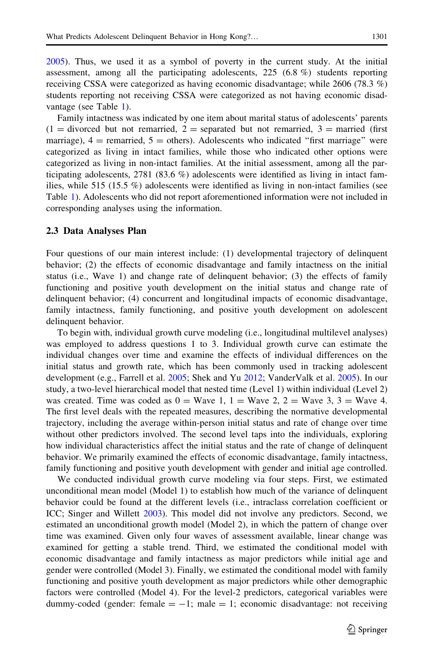[2005\)](#page-26-0). Thus, we used it as a symbol of poverty in the current study. At the initial assessment, among all the participating adolescents, 225 (6.8 %) students reporting receiving CSSA were categorized as having economic disadvantage; while 2606 (78.3 %) students reporting not receiving CSSA were categorized as not having economic disadvantage (see Table [1](#page-8-0)).

Family intactness was indicated by one item about marital status of adolescents' parents  $(1 = \text{divored}$  but not remarried,  $2 = \text{separated}$  but not remarried,  $3 = \text{married}$  (first marriage),  $4 =$  remarried,  $5 =$  others). Adolescents who indicated "first marriage" were categorized as living in intact families, while those who indicated other options were categorized as living in non-intact families. At the initial assessment, among all the participating adolescents, 2781 (83.6 %) adolescents were identified as living in intact families, while 515 (15.5 %) adolescents were identified as living in non-intact families (see Table [1](#page-8-0)). Adolescents who did not report aforementioned information were not included in corresponding analyses using the information.

#### 2.3 Data Analyses Plan

Four questions of our main interest include: (1) developmental trajectory of delinquent behavior; (2) the effects of economic disadvantage and family intactness on the initial status (i.e., Wave 1) and change rate of delinquent behavior; (3) the effects of family functioning and positive youth development on the initial status and change rate of delinquent behavior; (4) concurrent and longitudinal impacts of economic disadvantage, family intactness, family functioning, and positive youth development on adolescent delinquent behavior.

To begin with, individual growth curve modeling (i.e., longitudinal multilevel analyses) was employed to address questions 1 to 3. Individual growth curve can estimate the individual changes over time and examine the effects of individual differences on the initial status and growth rate, which has been commonly used in tracking adolescent development (e.g., Farrell et al. [2005](#page-26-0); Shek and Yu [2012](#page-26-0); VanderValk et al. 2005). In our study, a two-level hierarchical model that nested time (Level 1) within individual (Level 2) was created. Time was coded as  $0 = Wave 1$ ,  $1 = Wave 2$ ,  $2 = Wave 3$ ,  $3 = Wave 4$ . The first level deals with the repeated measures, describing the normative developmental trajectory, including the average within-person initial status and rate of change over time without other predictors involved. The second level taps into the individuals, exploring how individual characteristics affect the initial status and the rate of change of delinquent behavior. We primarily examined the effects of economic disadvantage, family intactness, family functioning and positive youth development with gender and initial age controlled.

We conducted individual growth curve modeling via four steps. First, we estimated unconditional mean model (Model 1) to establish how much of the variance of delinquent behavior could be found at the different levels (i.e., intraclass correlation coefficient or ICC; Singer and Willett [2003](#page-26-0)). This model did not involve any predictors. Second, we estimated an unconditional growth model (Model 2), in which the pattern of change over time was examined. Given only four waves of assessment available, linear change was examined for getting a stable trend. Third, we estimated the conditional model with economic disadvantage and family intactness as major predictors while initial age and gender were controlled (Model 3). Finally, we estimated the conditional model with family functioning and positive youth development as major predictors while other demographic factors were controlled (Model 4). For the level-2 predictors, categorical variables were dummy-coded (gender: female  $= -1$ ; male  $= 1$ ; economic disadvantage: not receiving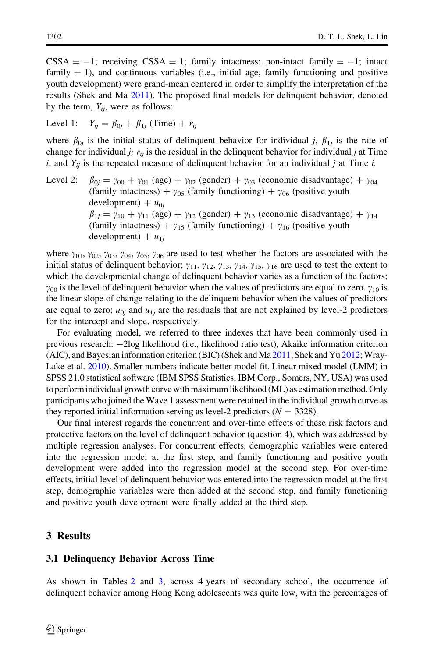$CSSA = -1$ ; receiving  $CSSA = 1$ ; family intactness: non-intact family = -1; intact family  $= 1$ ), and continuous variables (i.e., initial age, family functioning and positive youth development) were grand-mean centered in order to simplify the interpretation of the results (Shek and Ma [2011](#page-26-0)). The proposed final models for delinquent behavior, denoted by the term,  $Y_{ii}$ , were as follows:

Level 1:  $Y_{ij} = \beta_{0j} + \beta_{1j}$  (Time) +  $r_{ij}$ 

where  $\beta_{0j}$  is the initial status of delinquent behavior for individual j,  $\beta_{1j}$  is the rate of change for individual j;  $r_{ii}$  is the residual in the delinquent behavior for individual j at Time i, and  $Y_{ii}$  is the repeated measure of delinquent behavior for an individual j at Time i.

Level 2:  $\beta_{0j} = \gamma_{00} + \gamma_{01}$  (age) +  $\gamma_{02}$  (gender) +  $\gamma_{03}$  (economic disadvantage) +  $\gamma_{04}$ (family intactness) +  $\gamma_{05}$  (family functioning) +  $\gamma_{06}$  (positive youth development) +  $u_{0i}$  $\beta_{1j} = \gamma_{10} + \gamma_{11}$  (age) +  $\gamma_{12}$  (gender) +  $\gamma_{13}$  (economic disadvantage) +  $\gamma_{14}$ (family intactness) +  $\gamma_{15}$  (family functioning) +  $\gamma_{16}$  (positive youth development) +  $u_{1i}$ 

where  $\gamma_{01}$ ,  $\gamma_{02}$ ,  $\gamma_{03}$ ,  $\gamma_{04}$ ,  $\gamma_{05}$ ,  $\gamma_{06}$  are used to test whether the factors are associated with the initial status of delinquent behavior;  $\gamma_{11}$ ,  $\gamma_{12}$ ,  $\gamma_{13}$ ,  $\gamma_{14}$ ,  $\gamma_{15}$ ,  $\gamma_{16}$  are used to test the extent to which the developmental change of delinquent behavior varies as a function of the factors;  $\gamma_{00}$  is the level of delinquent behavior when the values of predictors are equal to zero.  $\gamma_{10}$  is the linear slope of change relating to the delinquent behavior when the values of predictors are equal to zero;  $u_{0i}$  and  $u_{1i}$  are the residuals that are not explained by level-2 predictors for the intercept and slope, respectively.

For evaluating model, we referred to three indexes that have been commonly used in previous research: -2log likelihood (i.e., likelihood ratio test), Akaike information criterion (AIC), and Bayesian information criterion (BIC) (Shek and Ma  $2011$ ; Shek and Yu  $2012$ ; Wray-Lake et al. [2010](#page-27-0)). Smaller numbers indicate better model fit. Linear mixed model (LMM) in SPSS 21.0 statistical software (IBM SPSS Statistics, IBM Corp., Somers, NY, USA) was used to perform individual growth curve with maximum likelihood (ML) as estimation method. Only participants who joined the Wave 1 assessment were retained in the individual growth curve as they reported initial information serving as level-2 predictors ( $N = 3328$ ).

Our final interest regards the concurrent and over-time effects of these risk factors and protective factors on the level of delinquent behavior (question 4), which was addressed by multiple regression analyses. For concurrent effects, demographic variables were entered into the regression model at the first step, and family functioning and positive youth development were added into the regression model at the second step. For over-time effects, initial level of delinquent behavior was entered into the regression model at the first step, demographic variables were then added at the second step, and family functioning and positive youth development were finally added at the third step.

### 3 Results

#### 3.1 Delinquency Behavior Across Time

As shown in Tables [2](#page-12-0) and [3](#page-13-0), across 4 years of secondary school, the occurrence of delinquent behavior among Hong Kong adolescents was quite low, with the percentages of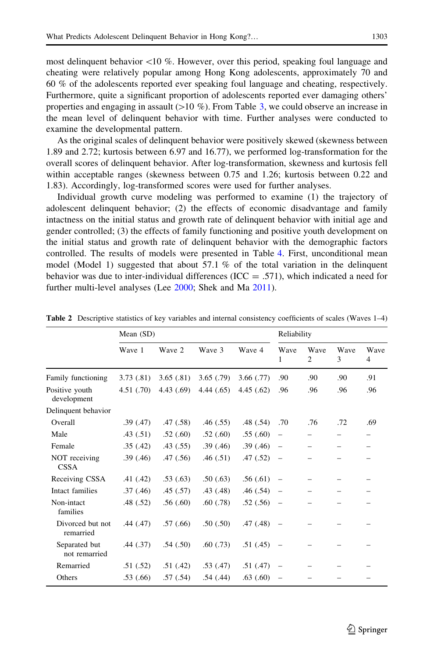<span id="page-12-0"></span>most delinquent behavior  $\langle10 \, \%$ cheating were relatively popular among Hong Kong adolescents, approximately 70 and 60 % of the adolescents reported ever speaking foul language and cheating, respectively. Furthermore, quite a significant proportion of adolescents reported ever damaging others' properties and engaging in assault  $(>10 \%)$ . From Table [3,](#page-13-0) we could observe an increase in the mean level of delinquent behavior with time. Further analyses were conducted to examine the developmental pattern.

As the original scales of delinquent behavior were positively skewed (skewness between 1.89 and 2.72; kurtosis between 6.97 and 16.77), we performed log-transformation for the overall scores of delinquent behavior. After log-transformation, skewness and kurtosis fell within acceptable ranges (skewness between 0.75 and 1.26; kurtosis between 0.22 and 1.83). Accordingly, log-transformed scores were used for further analyses.

Individual growth curve modeling was performed to examine (1) the trajectory of adolescent delinquent behavior; (2) the effects of economic disadvantage and family intactness on the initial status and growth rate of delinquent behavior with initial age and gender controlled; (3) the effects of family functioning and positive youth development on the initial status and growth rate of delinquent behavior with the demographic factors controlled. The results of models were presented in Table [4.](#page-15-0) First, unconditional mean model (Model 1) suggested that about 57.1 % of the total variation in the delinquent behavior was due to inter-individual differences ( $\text{ICC} = .571$ ), which indicated a need for further multi-level analyses (Lee [2000](#page-25-0); Shek and Ma [2011\)](#page-26-0).

|                                | Mean (SD)  |            |            |            | Reliability              |                        |           |                        |
|--------------------------------|------------|------------|------------|------------|--------------------------|------------------------|-----------|------------------------|
|                                | Wave 1     | Wave 2     | Wave 3     | Wave 4     | Wave<br>1                | Wave<br>$\overline{c}$ | Wave<br>3 | Wave<br>$\overline{4}$ |
| Family functioning             | 3.73(.81)  | 3.65(.81)  | 3.65(.79)  | 3.66(0.77) | .90                      | .90                    | .90       | .91                    |
| Positive youth<br>development  | 4.51(0.70) | 4.43(0.69) | 4.44(0.65) | 4.45(62)   | .96                      | .96                    | .96       | .96                    |
| Delinquent behavior            |            |            |            |            |                          |                        |           |                        |
| Overall                        | .39(.47)   | .47(0.58)  | .46(.55)   | .48(.54)   | .70                      | .76                    | .72       | .69                    |
| Male                           | .43(.51)   | .52(.60)   | .52(.60)   | .55(.60)   | $\overline{\phantom{0}}$ |                        |           |                        |
| Female                         | .35(.42)   | .43(.55)   | .39(.46)   | .39(.46)   | $\overline{\phantom{0}}$ |                        |           |                        |
| NOT receiving<br><b>CSSA</b>   | .39(.46)   | .47(.56)   | .46(.51)   | .47(.52)   |                          |                        |           |                        |
| Receiving CSSA                 | .41(.42)   | .53(.63)   | .50(.63)   | .56(.61)   | $\overline{\phantom{0}}$ |                        |           |                        |
| Intact families                | .37(.46)   | .45(.57)   | .43(.48)   | .46(.54)   |                          |                        |           |                        |
| Non-intact<br>families         | .48(.52)   | .56(.60)   | .60(0.78)  | .52(.56)   |                          |                        |           |                        |
| Divorced but not<br>remarried  | .44(.47)   | .57(.66)   | .50(.50)   | .47(0.48)  |                          |                        |           |                        |
| Separated but<br>not remarried | .44(.37)   | .54(.50)   | .60(0.73)  | .51(.45)   |                          |                        |           |                        |
| Remarried                      | .51(.52)   | .51(.42)   | .53(.47)   | .51(.47)   |                          |                        |           |                        |
| Others                         | .53(.66)   | .57(.54)   | .54(.44)   | .63(.60)   |                          |                        |           |                        |

Table 2 Descriptive statistics of key variables and internal consistency coefficients of scales (Waves 1–4)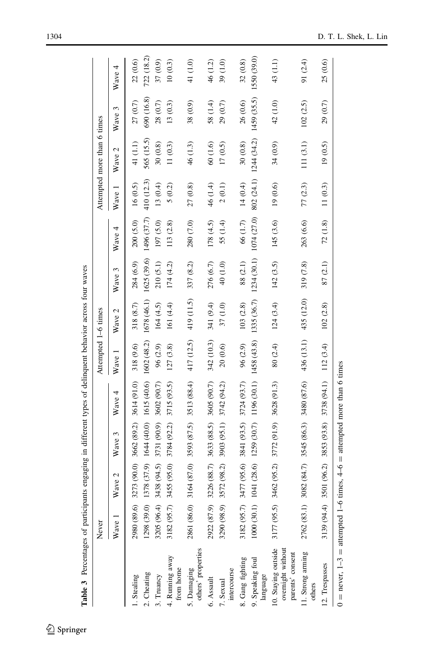<span id="page-13-0"></span>

|                                                                        | Never       |             |                                            |                                      | Attempted 1-6 times |                                                                  |                        |             |            | Attempted more than 6 times |             |             |
|------------------------------------------------------------------------|-------------|-------------|--------------------------------------------|--------------------------------------|---------------------|------------------------------------------------------------------|------------------------|-------------|------------|-----------------------------|-------------|-------------|
|                                                                        | Wave 1      | Wave 2      | 3<br>Wave                                  | 4<br>Wave                            | Wave                | $\mathbf{\sim}$<br>Wave                                          | 3<br>Wave <sup>-</sup> | 4<br>Wave   | Wave 1     | Wave 2                      | 3<br>Wave   | 4<br>Wave   |
| . Stealing                                                             | 2980 (89.6) | 3273 (90.0) | 3662 (89.2) 3614 (91.0)                    |                                      | 318 (9.6)           | 318 (8.7)                                                        | 284 (6.9)              | 200 (5.0)   | 16(0.5)    | 41 (1.1)                    | 27 (0.7)    | 22 (0.6)    |
| 2. Cheating                                                            | 1298 (39.0) | 1378 (37.9) | 1644 (40.0)                                |                                      |                     | $1615(40.6)$ $1602(48.2)$ $1678(46.1)$ $1625(39.6)$ $1496(37.7)$ |                        |             | 410 (12.3) | 565 (15.5)                  | 690 (16.8)  | 722 (18.2)  |
| 3. Truancy                                                             | 3205 (96.4) | 3438 (94.5) | 3731 (90.9)                                | 3602 (90.7)                          | 96 (2.9)            | 164(4.5)                                                         | 210 (5.1)              | 197 (5.0)   | 13(0.4)    | 30(0.8)                     | 28(0.7)     | 37 (0.9)    |
| 4. Running away<br>from home                                           | 3182 (95.7) | 3455 (95.0) | 3784 (92.2)                                | 3715 (93.5)                          | 127(3.8)            | 161 (4.4)                                                        | 174 (4.2)              | 113 (2.8)   | 5(0.2)     | 11(0.3)                     | 13(0.3)     | 10(0.3)     |
| others' properties<br>5. Damaging                                      | 2861 (86.0) | 3164 (87.0) | 3593 (87.5) 3513 (88.4)                    |                                      | 417 (12.5)          | 419 (11.5)                                                       | 337 (8.2)              | 280 (7.0)   | 27 (0.8)   | 46 (1.3)                    | 38 (0.9)    | 41 (1.0)    |
| 6. Assault                                                             | 2922 (87.9) | 3226 (88.7) | 3633 (88.5)                                | 3605 (90.7)                          | 342 (10.3)          | 341 (9.4)                                                        | 276 (6.7)              | 178(4.5)    | 46 (1.4)   | 60(1.6)                     | 58 (1.4)    | 46 (1.2)    |
| intercourse<br>7. Sexual                                               | 3290 (98.9) | 3572 (98.2) | 3903 (95.1)                                | 3742 (94.2)                          | 20(0.6)             | 37 (1.0)                                                         | 40(1.0)                | 55 (1.4)    | 2(0.1)     | 17(0.5)                     | 29 (0.7)    | 39 (1.0)    |
| 8. Gang fighting                                                       | 3182 (95.7) | 3477 (95.6) | 3841 (93.5) 3724 (93.7)                    |                                      | 96 (2.9)            | 103(2.8)                                                         | 88 (2.1)               | 66 (1.7)    | 14(0.4)    | 30(0.8)                     | 26 (0.6)    | 32 (0.8)    |
| 9. Speaking foul<br>language                                           | 1000(30.1)  |             | $1041(28.6)$ $1259(30.7)$                  | $1196(30.1)$ 1458 (43.8) 1335 (36.7) |                     |                                                                  | 1234 (30.1)            | 1074 (27.0) | 802 (24.1) | 1244 (34.2)                 | 1459 (35.5) | 1550 (39.0) |
| 0. Staying outside $3177$ (95.5) overnight without<br>parents' consent |             |             | 3462 (95.2) 3772 (91.9) 3628 (91.3)        |                                      | 80 (2.4)            | 124(3.4)                                                         | 142(3.5)               | 145 (3.6)   | 19(0.6)    | 34 (0.9)                    | 42 (1.0)    | 43 (1.1)    |
| 1. Strong arming<br>others                                             | 2762 (83.1) | 3082 (84.7) | 3545 (86.3)                                | 3480 (87.6)                          | 436 (13.1)          | 435 (12.0)                                                       | 319 (7.8)              | 263 (6.6)   | 77(2.3)    | 111(3.1)                    | 102(2.5)    | 91 (2.4)    |
| 12. Trespasses                                                         | 3139 (94.4) | 3501 (96.2) | 3853 (93.8)                                | 3738 (94.1)                          | 112 (3.4)           | 102(2.8)                                                         | 87 (2.1)               | 72(1.8)     | 11(0.3)    | 19(0.5)                     | 29 (0.7)    | 25(0.6)     |
| $0 =$ never, $1-3 =$ attempted $1-6$                                   |             |             | times, $4-6$ = attempted more than 6 times |                                      |                     |                                                                  |                        |             |            |                             |             |             |

Table 3 Percentages of participants engaging in different types of delinquent behavior across four waves Table 3 Percentages of participants engaging in different types of delinquent behavior across four waves

 $\underline{\textcircled{\tiny 2}}$  Springer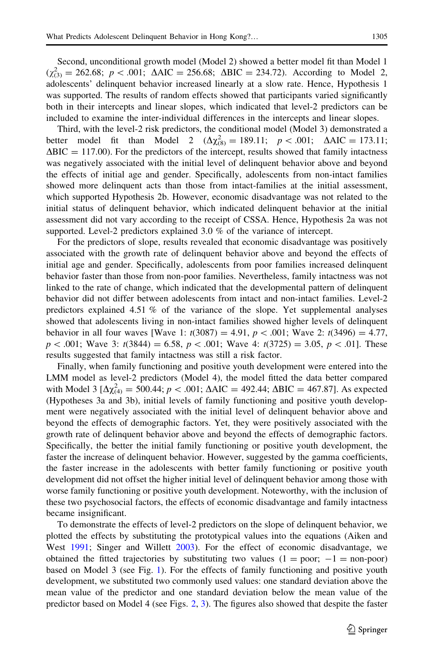Second, unconditional growth model (Model 2) showed a better model fit than Model 1  $(\chi^2_{(3)} = 262.68; \ p < .001; \ \Delta AIC = 256.68; \ \Delta BIC = 234.72$ ). According to Model 2, adolescents' delinquent behavior increased linearly at a slow rate. Hence, Hypothesis 1 was supported. The results of random effects showed that participants varied significantly both in their intercepts and linear slopes, which indicated that level-2 predictors can be included to examine the inter-individual differences in the intercepts and linear slopes.

Third, with the level-2 risk predictors, the conditional model (Model 3) demonstrated a better model fit than Model 2  $(\Delta \chi^2_{(8)} = 189.11; p < .001; \Delta AIC = 173.11;$  $\Delta BIC = 117.00$ ). For the predictors of the intercept, results showed that family intactness was negatively associated with the initial level of delinquent behavior above and beyond the effects of initial age and gender. Specifically, adolescents from non-intact families showed more delinquent acts than those from intact-families at the initial assessment, which supported Hypothesis 2b. However, economic disadvantage was not related to the initial status of delinquent behavior, which indicated delinquent behavior at the initial assessment did not vary according to the receipt of CSSA. Hence, Hypothesis 2a was not supported. Level-2 predictors explained 3.0 % of the variance of intercept.

For the predictors of slope, results revealed that economic disadvantage was positively associated with the growth rate of delinquent behavior above and beyond the effects of initial age and gender. Specifically, adolescents from poor families increased delinquent behavior faster than those from non-poor families. Nevertheless, family intactness was not linked to the rate of change, which indicated that the developmental pattern of delinquent behavior did not differ between adolescents from intact and non-intact families. Level-2 predictors explained 4.51 % of the variance of the slope. Yet supplemental analyses showed that adolescents living in non-intact families showed higher levels of delinquent behavior in all four waves [Wave 1:  $t(3087) = 4.91$ ,  $p < .001$ ; Wave 2:  $t(3496) = 4.77$ ,  $p$  < .001; Wave 3: t(3844) = 6.58,  $p$  < .001; Wave 4: t(3725) = 3.05, p < .01]. These results suggested that family intactness was still a risk factor.

Finally, when family functioning and positive youth development were entered into the LMM model as level-2 predictors (Model 4), the model fitted the data better compared with Model 3  $[\Delta \chi^2_{(4)} = 500.44; p < .001; \Delta AIC = 492.44; \Delta BIC = 467.87]$ . As expected (Hypotheses 3a and 3b), initial levels of family functioning and positive youth development were negatively associated with the initial level of delinquent behavior above and beyond the effects of demographic factors. Yet, they were positively associated with the growth rate of delinquent behavior above and beyond the effects of demographic factors. Specifically, the better the initial family functioning or positive youth development, the faster the increase of delinquent behavior. However, suggested by the gamma coefficients, the faster increase in the adolescents with better family functioning or positive youth development did not offset the higher initial level of delinquent behavior among those with worse family functioning or positive youth development. Noteworthy, with the inclusion of these two psychosocial factors, the effects of economic disadvantage and family intactness became insignificant.

To demonstrate the effects of level-2 predictors on the slope of delinquent behavior, we plotted the effects by substituting the prototypical values into the equations (Aiken and West [1991](#page-23-0); Singer and Willett [2003](#page-26-0)). For the effect of economic disadvantage, we obtained the fitted trajectories by substituting two values  $(1 = poor; -1 = non-poor)$ based on Model 3 (see Fig. [1](#page-17-0)). For the effects of family functioning and positive youth development, we substituted two commonly used values: one standard deviation above the mean value of the predictor and one standard deviation below the mean value of the predictor based on Model 4 (see Figs. [2,](#page-18-0) [3](#page-18-0)). The figures also showed that despite the faster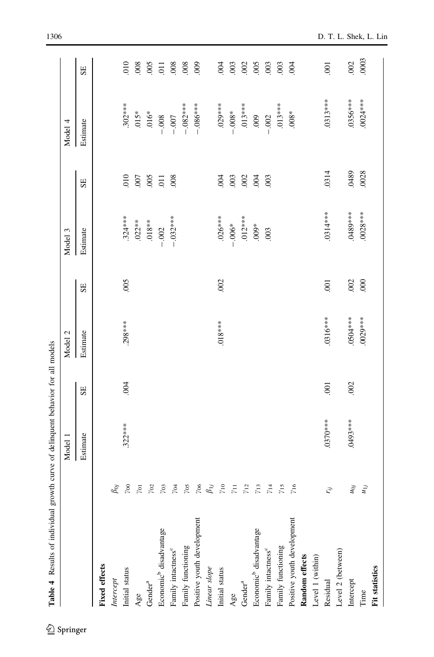<span id="page-15-0"></span>

| Table 4 Results of individual growth curve of delinquent behavior for all models |                | Model 1   |                | Model 2    |                | Model 3     |                | Model 4     |                  |
|----------------------------------------------------------------------------------|----------------|-----------|----------------|------------|----------------|-------------|----------------|-------------|------------------|
|                                                                                  |                | Estimate  | SE             | Estimate   | SE             | Estimate    | SE             | Estimate    | SE               |
| <b>Fixed effects</b>                                                             |                |           |                |            |                |             |                |             |                  |
| Intercept                                                                        | $\beta_{0j}$   |           |                |            |                |             |                |             |                  |
| Initial status                                                                   | $\approx$      | $.322***$ | 004            | $.298***$  | 005            | $.324***$   | 010            | $.302***$   | 010              |
| Age                                                                              | $\frac{1}{2}$  |           |                |            |                | $.022**$    | 007            | $.015*$     | 008              |
| Gender <sup>a</sup>                                                              | $\sqrt{62}$    |           |                |            |                | $.018**$    | 005            | $.016*$     | 005              |
| Economic <sup>b</sup> disadvantage                                               | /03            |           |                |            |                | $-.002$     | $\overline{0}$ | $-0.008$    | $\overline{0}$   |
| Family intactness <sup>c</sup>                                                   | %              |           |                |            |                | $-0.32***$  | .008           | $-0.007$    | .008             |
| Family functioning                                                               | /05            |           |                |            |                |             |                | $-082***$   | .008             |
| Positive youth development                                                       | /06            |           |                |            |                |             |                | $-0.86***$  | 000              |
| Linear slope                                                                     | $\beta_{1j}$   |           |                |            |                |             |                |             |                  |
| Initial status                                                                   | $\gamma_{10}$  |           |                | $0.018***$ | 002            | $.026***$   | 64             | $.029***$   | 604              |
| Age                                                                              | $\bar{z}$      |           |                |            |                | $-.006*$    | .003           | $-0.08*$    | $\overline{003}$ |
| Gender <sup>a</sup>                                                              | $y_{12}$       |           |                |            |                | $.012***$   | .002           | $.013***$   | .002             |
| Economic <sup>b</sup> disadvantage                                               | $\frac{13}{2}$ |           |                |            |                | $.009*$     | 004            | 000         | 005              |
| Family intactness <sup>c</sup>                                                   | $\frac{14}{3}$ |           |                |            |                | .003        | .003           | $-.002$     | 003              |
| Family functioning                                                               | $y_{15}$       |           |                |            |                |             |                | $.013***$   | .003             |
| Positive youth development                                                       | $y_{16}$       |           |                |            |                |             |                | $0.08*$     | 004              |
| Random effects                                                                   |                |           |                |            |                |             |                |             |                  |
| Level 1 (within)                                                                 |                |           |                |            |                |             |                |             |                  |
| Residual                                                                         | ë,             | 0370***   | $\overline{0}$ | $0316***$  | $\overline{0}$ | $0.0314***$ | .0314          | $0313***$   | $\overline{5}$   |
| Level 2 (between)                                                                |                |           |                |            |                |             |                |             |                  |
| Intercept                                                                        | Îб             | .0493***  | .002           | .0504***   | .002           | $0.489***$  | 0489           | $0.0356***$ | .002             |
| Time                                                                             | $\mathbf{r}_k$ |           |                | .0029***   | 000            | $.0028***$  | .0028          | $.0024***$  | .0003            |
| Fit statistics                                                                   |                |           |                |            |                |             |                |             |                  |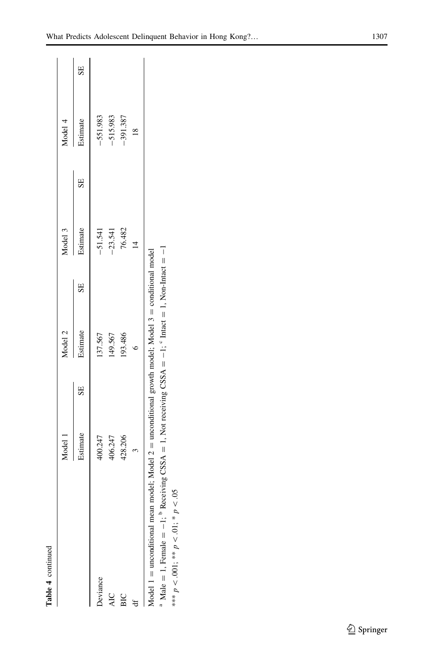|                                                                                                                                                                                                                                                 | Model 1  |    | Model 2  |    | Model 3   |    | Model 4        |             |
|-------------------------------------------------------------------------------------------------------------------------------------------------------------------------------------------------------------------------------------------------|----------|----|----------|----|-----------|----|----------------|-------------|
|                                                                                                                                                                                                                                                 | Estimate | SE | Estimate | 55 | Estimate  | SE | Estimate       | $_{\rm SE}$ |
| beviance                                                                                                                                                                                                                                        | 400.247  |    | 137.567  |    | $-51.541$ |    | $-551.983$     |             |
| <b>AIC</b>                                                                                                                                                                                                                                      | 406.247  |    | 149.567  |    | $-23.541$ |    | $-515.983$     |             |
| BIC                                                                                                                                                                                                                                             | 428.206  |    | 193.486  |    | 76.482    |    | $-391.387$     |             |
|                                                                                                                                                                                                                                                 |          |    | $\circ$  |    |           |    | $\frac{8}{18}$ |             |
| <sup>a</sup> Male = 1, Female = -1; <sup>b</sup> Receiving CSSA = 1, Not receiving CSSA = -1; <sup>c</sup> Intact = 1, Non-Intact = -1<br>Model 1 = unconditional mean model; Model 2 = unconditional growth model; Model 3 = conditional model |          |    |          |    |           |    |                |             |

\*\*\*  $p$  < .001; \*\*  $p$  < .01; \*  $p$  < .05

\*\*\*  $p < .001$ ; \*\*  $p < .01$ ; \*  $p < .05$ 

What Predicts Adolescent Delinquent Behavior in Hong Kong?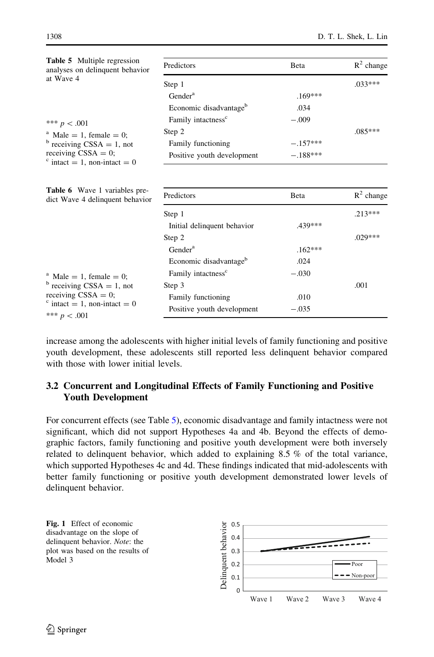<span id="page-17-0"></span>

| <b>Table 5</b> Multiple regression<br>analyses on delinquent behavior | Predictors                         | Beta       | $R^2$ change |
|-----------------------------------------------------------------------|------------------------------------|------------|--------------|
| at Wave 4                                                             | Step 1                             |            | $.033***$    |
|                                                                       | Gender <sup>a</sup>                | $.169***$  |              |
|                                                                       | Economic disadvantage <sup>b</sup> | .034       |              |
| *** $p < .001$                                                        | Family intactness <sup>c</sup>     | $-.009$    |              |
| <sup>a</sup> Male = 1, female = 0;                                    | Step 2                             |            | .085***      |
| $b$ receiving CSSA = 1, not                                           | Family functioning                 | $-.157***$ |              |
| receiving $CSSA = 0$ ;<br>$\epsilon$ intact = 1, non-intact = 0       | Positive youth development         | $-.188***$ |              |
| <b>Table 6</b> Wave 1 variables pre-                                  | Predictors                         | Beta       | $R^2$ change |
| dict Wave 4 delinquent behavior                                       |                                    |            |              |
|                                                                       | Step 1                             |            | $.213***$    |
|                                                                       | Initial delinquent behavior        | .439***    |              |
|                                                                       | Step 2                             |            | $.029***$    |
|                                                                       | Gender <sup>a</sup>                | $.162***$  |              |
|                                                                       | Economic disadvantage <sup>b</sup> | .024       |              |
| <sup>a</sup> Male = 1, female = 0;                                    | Family intactness <sup>c</sup>     | $-.030$    |              |
| $b$ receiving CSSA = 1, not                                           | Step 3                             |            | .001         |
| receiving $CSSA = 0$ ;                                                | Family functioning                 | .010       |              |
| $\epsilon$ intact = 1, non-intact = 0<br>*** $p < .001$               | Positive youth development         | $-.035$    |              |

increase among the adolescents with higher initial levels of family functioning and positive youth development, these adolescents still reported less delinquent behavior compared with those with lower initial levels.

## 3.2 Concurrent and Longitudinal Effects of Family Functioning and Positive Youth Development

For concurrent effects (see Table 5), economic disadvantage and family intactness were not significant, which did not support Hypotheses 4a and 4b. Beyond the effects of demographic factors, family functioning and positive youth development were both inversely related to delinquent behavior, which added to explaining 8.5 % of the total variance, which supported Hypotheses 4c and 4d. These findings indicated that mid-adolescents with better family functioning or positive youth development demonstrated lower levels of delinquent behavior.

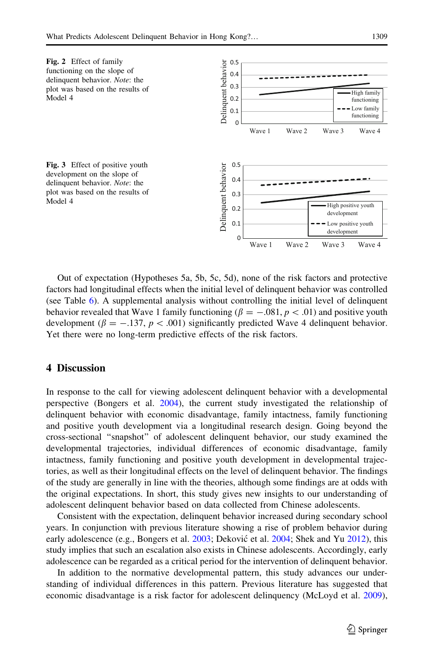<span id="page-18-0"></span>

Out of expectation (Hypotheses 5a, 5b, 5c, 5d), none of the risk factors and protective factors had longitudinal effects when the initial level of delinquent behavior was controlled (see Table [6](#page-17-0)). A supplemental analysis without controlling the initial level of delinquent behavior revealed that Wave 1 family functioning ( $\beta = -.081, p < .01$ ) and positive youth development ( $\beta = -.137$ ,  $p < .001$ ) significantly predicted Wave 4 delinquent behavior. Yet there were no long-term predictive effects of the risk factors.

### 4 Discussion

In response to the call for viewing adolescent delinquent behavior with a developmental perspective (Bongers et al. [2004\)](#page-23-0), the current study investigated the relationship of delinquent behavior with economic disadvantage, family intactness, family functioning and positive youth development via a longitudinal research design. Going beyond the cross-sectional ''snapshot'' of adolescent delinquent behavior, our study examined the developmental trajectories, individual differences of economic disadvantage, family intactness, family functioning and positive youth development in developmental trajectories, as well as their longitudinal effects on the level of delinquent behavior. The findings of the study are generally in line with the theories, although some findings are at odds with the original expectations. In short, this study gives new insights to our understanding of adolescent delinquent behavior based on data collected from Chinese adolescents.

Consistent with the expectation, delinquent behavior increased during secondary school years. In conjunction with previous literature showing a rise of problem behavior during early adolescence (e.g., Bongers et al. [2003;](#page-23-0) Deković et al. [2004](#page-24-0); Shek and Yu [2012\)](#page-26-0), this study implies that such an escalation also exists in Chinese adolescents. Accordingly, early adolescence can be regarded as a critical period for the intervention of delinquent behavior.

In addition to the normative developmental pattern, this study advances our understanding of individual differences in this pattern. Previous literature has suggested that economic disadvantage is a risk factor for adolescent delinquency (McLoyd et al. [2009](#page-25-0)),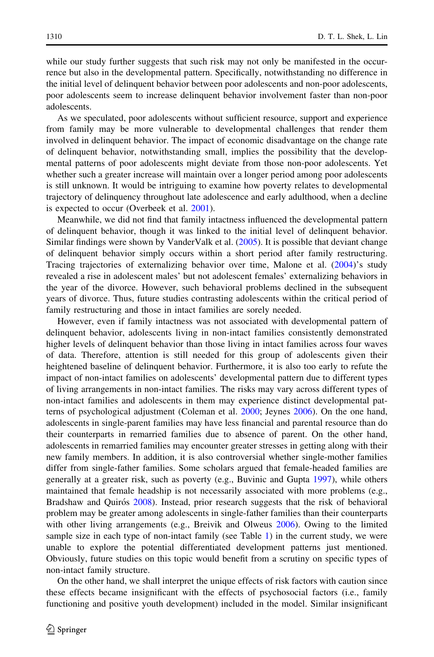while our study further suggests that such risk may not only be manifested in the occurrence but also in the developmental pattern. Specifically, notwithstanding no difference in the initial level of delinquent behavior between poor adolescents and non-poor adolescents, poor adolescents seem to increase delinquent behavior involvement faster than non-poor adolescents.

As we speculated, poor adolescents without sufficient resource, support and experience from family may be more vulnerable to developmental challenges that render them involved in delinquent behavior. The impact of economic disadvantage on the change rate of delinquent behavior, notwithstanding small, implies the possibility that the developmental patterns of poor adolescents might deviate from those non-poor adolescents. Yet whether such a greater increase will maintain over a longer period among poor adolescents is still unknown. It would be intriguing to examine how poverty relates to developmental trajectory of delinquency throughout late adolescence and early adulthood, when a decline is expected to occur (Overbeek et al. [2001\)](#page-25-0).

Meanwhile, we did not find that family intactness influenced the developmental pattern of delinquent behavior, though it was linked to the initial level of delinquent behavior. Similar findings were shown by VanderValk et al. ([2005\)](#page-26-0). It is possible that deviant change of delinquent behavior simply occurs within a short period after family restructuring. Tracing trajectories of externalizing behavior over time, Malone et al. ([2004\)](#page-25-0)'s study revealed a rise in adolescent males' but not adolescent females' externalizing behaviors in the year of the divorce. However, such behavioral problems declined in the subsequent years of divorce. Thus, future studies contrasting adolescents within the critical period of family restructuring and those in intact families are sorely needed.

However, even if family intactness was not associated with developmental pattern of delinquent behavior, adolescents living in non-intact families consistently demonstrated higher levels of delinquent behavior than those living in intact families across four waves of data. Therefore, attention is still needed for this group of adolescents given their heightened baseline of delinquent behavior. Furthermore, it is also too early to refute the impact of non-intact families on adolescents' developmental pattern due to different types of living arrangements in non-intact families. The risks may vary across different types of non-intact families and adolescents in them may experience distinct developmental patterns of psychological adjustment (Coleman et al. [2000;](#page-23-0) Jeynes [2006](#page-24-0)). On the one hand, adolescents in single-parent families may have less financial and parental resource than do their counterparts in remarried families due to absence of parent. On the other hand, adolescents in remarried families may encounter greater stresses in getting along with their new family members. In addition, it is also controversial whether single-mother families differ from single-father families. Some scholars argued that female-headed families are generally at a greater risk, such as poverty (e.g., Buvinic and Gupta [1997](#page-23-0)), while others maintained that female headship is not necessarily associated with more problems (e.g., Bradshaw and Quirós [2008\)](#page-23-0). Instead, prior research suggests that the risk of behavioral problem may be greater among adolescents in single-father families than their counterparts with other living arrangements (e.g., Breivik and Olweus [2006\)](#page-23-0). Owing to the limited sample size in each type of non-intact family (see Table [1\)](#page-8-0) in the current study, we were unable to explore the potential differentiated development patterns just mentioned. Obviously, future studies on this topic would benefit from a scrutiny on specific types of non-intact family structure.

On the other hand, we shall interpret the unique effects of risk factors with caution since these effects became insignificant with the effects of psychosocial factors (i.e., family functioning and positive youth development) included in the model. Similar insignificant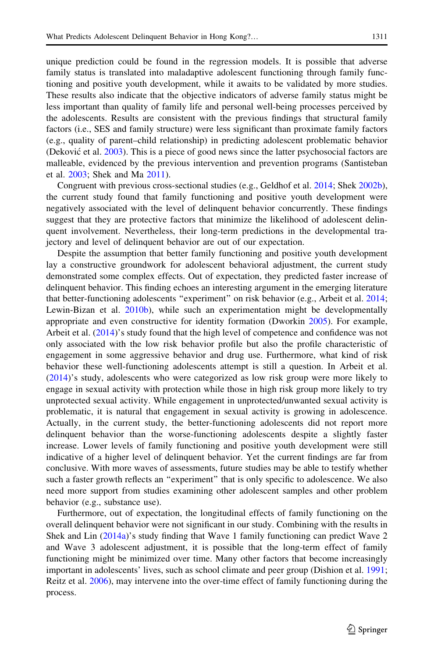unique prediction could be found in the regression models. It is possible that adverse family status is translated into maladaptive adolescent functioning through family functioning and positive youth development, while it awaits to be validated by more studies. These results also indicate that the objective indicators of adverse family status might be less important than quality of family life and personal well-being processes perceived by the adolescents. Results are consistent with the previous findings that structural family factors (i.e., SES and family structure) were less significant than proximate family factors (e.g., quality of parent–child relationship) in predicting adolescent problematic behavior (Deković et al.  $2003$ ). This is a piece of good news since the latter psychosocial factors are malleable, evidenced by the previous intervention and prevention programs (Santisteban et al. [2003](#page-26-0); Shek and Ma [2011\)](#page-26-0).

Congruent with previous cross-sectional studies (e.g., Geldhof et al. [2014](#page-24-0); Shek [2002b](#page-26-0)), the current study found that family functioning and positive youth development were negatively associated with the level of delinquent behavior concurrently. These findings suggest that they are protective factors that minimize the likelihood of adolescent delinquent involvement. Nevertheless, their long-term predictions in the developmental trajectory and level of delinquent behavior are out of our expectation.

Despite the assumption that better family functioning and positive youth development lay a constructive groundwork for adolescent behavioral adjustment, the current study demonstrated some complex effects. Out of expectation, they predicted faster increase of delinquent behavior. This finding echoes an interesting argument in the emerging literature that better-functioning adolescents ''experiment'' on risk behavior (e.g., Arbeit et al. [2014;](#page-23-0) Lewin-Bizan et al. [2010b](#page-25-0)), while such an experimentation might be developmentally appropriate and even constructive for identity formation (Dworkin [2005\)](#page-24-0). For example, Arbeit et al. [\(2014](#page-23-0))'s study found that the high level of competence and confidence was not only associated with the low risk behavior profile but also the profile characteristic of engagement in some aggressive behavior and drug use. Furthermore, what kind of risk behavior these well-functioning adolescents attempt is still a question. In Arbeit et al. ([2014\)](#page-23-0)'s study, adolescents who were categorized as low risk group were more likely to engage in sexual activity with protection while those in high risk group more likely to try unprotected sexual activity. While engagement in unprotected/unwanted sexual activity is problematic, it is natural that engagement in sexual activity is growing in adolescence. Actually, in the current study, the better-functioning adolescents did not report more delinquent behavior than the worse-functioning adolescents despite a slightly faster increase. Lower levels of family functioning and positive youth development were still indicative of a higher level of delinquent behavior. Yet the current findings are far from conclusive. With more waves of assessments, future studies may be able to testify whether such a faster growth reflects an "experiment" that is only specific to adolescence. We also need more support from studies examining other adolescent samples and other problem behavior (e.g., substance use).

Furthermore, out of expectation, the longitudinal effects of family functioning on the overall delinquent behavior were not significant in our study. Combining with the results in Shek and Lin [\(2014a\)](#page-26-0)'s study finding that Wave 1 family functioning can predict Wave 2 and Wave 3 adolescent adjustment, it is possible that the long-term effect of family functioning might be minimized over time. Many other factors that become increasingly important in adolescents' lives, such as school climate and peer group (Dishion et al. [1991;](#page-24-0) Reitz et al. [2006\)](#page-25-0), may intervene into the over-time effect of family functioning during the process.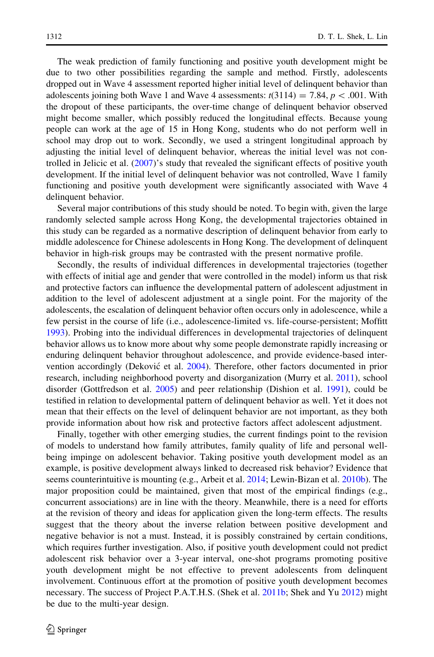The weak prediction of family functioning and positive youth development might be due to two other possibilities regarding the sample and method. Firstly, adolescents dropped out in Wave 4 assessment reported higher initial level of delinquent behavior than adolescents joining both Wave 1 and Wave 4 assessments:  $t(3114) = 7.84$ ,  $p < .001$ . With the dropout of these participants, the over-time change of delinquent behavior observed might become smaller, which possibly reduced the longitudinal effects. Because young people can work at the age of 15 in Hong Kong, students who do not perform well in school may drop out to work. Secondly, we used a stringent longitudinal approach by adjusting the initial level of delinquent behavior, whereas the initial level was not controlled in Jelicic et al. [\(2007](#page-24-0))'s study that revealed the significant effects of positive youth development. If the initial level of delinquent behavior was not controlled, Wave 1 family functioning and positive youth development were significantly associated with Wave 4 delinquent behavior.

Several major contributions of this study should be noted. To begin with, given the large randomly selected sample across Hong Kong, the developmental trajectories obtained in this study can be regarded as a normative description of delinquent behavior from early to middle adolescence for Chinese adolescents in Hong Kong. The development of delinquent behavior in high-risk groups may be contrasted with the present normative profile.

Secondly, the results of individual differences in developmental trajectories (together with effects of initial age and gender that were controlled in the model) inform us that risk and protective factors can influence the developmental pattern of adolescent adjustment in addition to the level of adolescent adjustment at a single point. For the majority of the adolescents, the escalation of delinquent behavior often occurs only in adolescence, while a few persist in the course of life (i.e., adolescence-limited vs. life-course-persistent; Moffitt [1993\)](#page-25-0). Probing into the individual differences in developmental trajectories of delinquent behavior allows us to know more about why some people demonstrate rapidly increasing or enduring delinquent behavior throughout adolescence, and provide evidence-based inter-vention accordingly (Deković et al. [2004](#page-24-0)). Therefore, other factors documented in prior research, including neighborhood poverty and disorganization (Murry et al. [2011](#page-25-0)), school disorder (Gottfredson et al. [2005](#page-24-0)) and peer relationship (Dishion et al. [1991](#page-24-0)), could be testified in relation to developmental pattern of delinquent behavior as well. Yet it does not mean that their effects on the level of delinquent behavior are not important, as they both provide information about how risk and protective factors affect adolescent adjustment.

Finally, together with other emerging studies, the current findings point to the revision of models to understand how family attributes, family quality of life and personal wellbeing impinge on adolescent behavior. Taking positive youth development model as an example, is positive development always linked to decreased risk behavior? Evidence that seems counterintuitive is mounting (e.g., Arbeit et al. [2014](#page-23-0); Lewin-Bizan et al. [2010b](#page-25-0)). The major proposition could be maintained, given that most of the empirical findings (e.g., concurrent associations) are in line with the theory. Meanwhile, there is a need for efforts at the revision of theory and ideas for application given the long-term effects. The results suggest that the theory about the inverse relation between positive development and negative behavior is not a must. Instead, it is possibly constrained by certain conditions, which requires further investigation. Also, if positive youth development could not predict adolescent risk behavior over a 3-year interval, one-shot programs promoting positive youth development might be not effective to prevent adolescents from delinquent involvement. Continuous effort at the promotion of positive youth development becomes necessary. The success of Project P.A.T.H.S. (Shek et al. [2011b](#page-26-0); Shek and Yu [2012\)](#page-26-0) might be due to the multi-year design.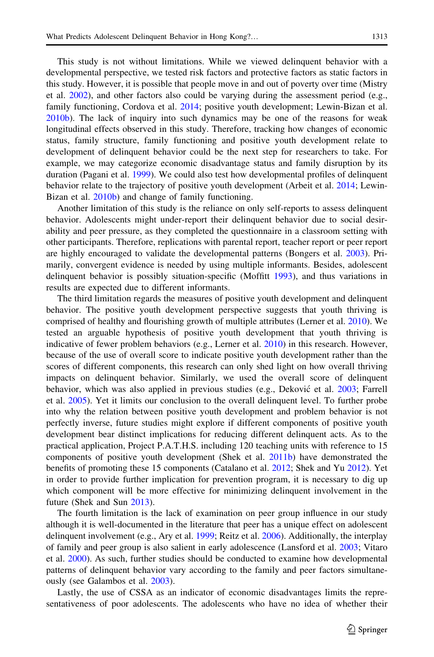This study is not without limitations. While we viewed delinquent behavior with a developmental perspective, we tested risk factors and protective factors as static factors in this study. However, it is possible that people move in and out of poverty over time (Mistry et al. [2002](#page-25-0)), and other factors also could be varying during the assessment period (e.g., family functioning, Cordova et al. [2014;](#page-24-0) positive youth development; Lewin-Bizan et al. [2010b](#page-25-0)). The lack of inquiry into such dynamics may be one of the reasons for weak longitudinal effects observed in this study. Therefore, tracking how changes of economic status, family structure, family functioning and positive youth development relate to development of delinquent behavior could be the next step for researchers to take. For example, we may categorize economic disadvantage status and family disruption by its duration (Pagani et al. [1999\)](#page-25-0). We could also test how developmental profiles of delinquent behavior relate to the trajectory of positive youth development (Arbeit et al. [2014;](#page-23-0) Lewin-Bizan et al. [2010b](#page-25-0)) and change of family functioning.

Another limitation of this study is the reliance on only self-reports to assess delinquent behavior. Adolescents might under-report their delinquent behavior due to social desirability and peer pressure, as they completed the questionnaire in a classroom setting with other participants. Therefore, replications with parental report, teacher report or peer report are highly encouraged to validate the developmental patterns (Bongers et al. [2003](#page-23-0)). Primarily, convergent evidence is needed by using multiple informants. Besides, adolescent delinquent behavior is possibly situation-specific (Moffitt [1993](#page-25-0)), and thus variations in results are expected due to different informants.

The third limitation regards the measures of positive youth development and delinquent behavior. The positive youth development perspective suggests that youth thriving is comprised of healthy and flourishing growth of multiple attributes (Lerner et al. [2010](#page-25-0)). We tested an arguable hypothesis of positive youth development that youth thriving is indicative of fewer problem behaviors (e.g., Lerner et al. [2010](#page-25-0)) in this research. However, because of the use of overall score to indicate positive youth development rather than the scores of different components, this research can only shed light on how overall thriving impacts on delinquent behavior. Similarly, we used the overall score of delinquent behavior, which was also applied in previous studies (e.g., Deković et al. [2003;](#page-24-0) Farrell et al. [2005](#page-24-0)). Yet it limits our conclusion to the overall delinquent level. To further probe into why the relation between positive youth development and problem behavior is not perfectly inverse, future studies might explore if different components of positive youth development bear distinct implications for reducing different delinquent acts. As to the practical application, Project P.A.T.H.S. including 120 teaching units with reference to 15 components of positive youth development (Shek et al. [2011b](#page-26-0)) have demonstrated the benefits of promoting these 15 components (Catalano et al. [2012](#page-23-0); Shek and Yu [2012\)](#page-26-0). Yet in order to provide further implication for prevention program, it is necessary to dig up which component will be more effective for minimizing delinquent involvement in the future (Shek and Sun [2013](#page-26-0)).

The fourth limitation is the lack of examination on peer group influence in our study although it is well-documented in the literature that peer has a unique effect on adolescent delinquent involvement (e.g., Ary et al. [1999](#page-23-0); Reitz et al. [2006](#page-25-0)). Additionally, the interplay of family and peer group is also salient in early adolescence (Lansford et al. [2003;](#page-25-0) Vitaro et al. [2000\)](#page-26-0). As such, further studies should be conducted to examine how developmental patterns of delinquent behavior vary according to the family and peer factors simultaneously (see Galambos et al. [2003\)](#page-24-0).

Lastly, the use of CSSA as an indicator of economic disadvantages limits the representativeness of poor adolescents. The adolescents who have no idea of whether their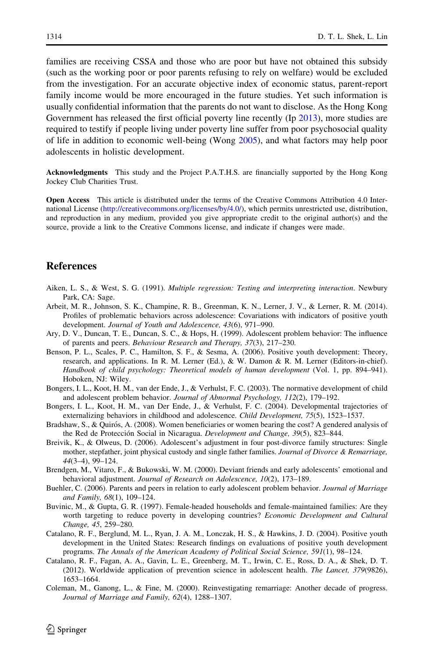<span id="page-23-0"></span>families are receiving CSSA and those who are poor but have not obtained this subsidy (such as the working poor or poor parents refusing to rely on welfare) would be excluded from the investigation. For an accurate objective index of economic status, parent-report family income would be more encouraged in the future studies. Yet such information is usually confidential information that the parents do not want to disclose. As the Hong Kong Government has released the first official poverty line recently (Ip [2013\)](#page-24-0), more studies are required to testify if people living under poverty line suffer from poor psychosocial quality of life in addition to economic well-being (Wong [2005\)](#page-26-0), and what factors may help poor adolescents in holistic development.

Acknowledgments This study and the Project P.A.T.H.S. are financially supported by the Hong Kong Jockey Club Charities Trust.

Open Access This article is distributed under the terms of the Creative Commons Attribution 4.0 International License [\(http://creativecommons.org/licenses/by/4.0/\)](http://creativecommons.org/licenses/by/4.0/), which permits unrestricted use, distribution, and reproduction in any medium, provided you give appropriate credit to the original author(s) and the source, provide a link to the Creative Commons license, and indicate if changes were made.

### References

- Aiken, L. S., & West, S. G. (1991). Multiple regression: Testing and interpreting interaction. Newbury Park, CA: Sage.
- Arbeit, M. R., Johnson, S. K., Champine, R. B., Greenman, K. N., Lerner, J. V., & Lerner, R. M. (2014). Profiles of problematic behaviors across adolescence: Covariations with indicators of positive youth development. Journal of Youth and Adolescence, 43(6), 971–990.
- Ary, D. V., Duncan, T. E., Duncan, S. C., & Hops, H. (1999). Adolescent problem behavior: The influence of parents and peers. Behaviour Research and Therapy, 37(3), 217–230.
- Benson, P. L., Scales, P. C., Hamilton, S. F., & Sesma, A. (2006). Positive youth development: Theory, research, and applications. In R. M. Lerner (Ed.), & W. Damon & R. M. Lerner (Editors-in-chief). Handbook of child psychology: Theoretical models of human development (Vol. 1, pp. 894–941). Hoboken, NJ: Wiley.
- Bongers, I. L., Koot, H. M., van der Ende, J., & Verhulst, F. C. (2003). The normative development of child and adolescent problem behavior. Journal of Abnormal Psychology, 112(2), 179–192.
- Bongers, I. L., Koot, H. M., van Der Ende, J., & Verhulst, F. C. (2004). Developmental trajectories of externalizing behaviors in childhood and adolescence. Child Development, 75(5), 1523–1537.
- Bradshaw, S., & Quirós, A. (2008). Women beneficiaries or women bearing the cost? A gendered analysis of the Red de Protección Social in Nicaragua. Development and Change, 39(5), 823–844.
- Breivik, K., & Olweus, D. (2006). Adolescent's adjustment in four post-divorce family structures: Single mother, stepfather, joint physical custody and single father families. Journal of Divorce & Remarriage, 44(3–4), 99–124.
- Brendgen, M., Vitaro, F., & Bukowski, W. M. (2000). Deviant friends and early adolescents' emotional and behavioral adjustment. Journal of Research on Adolescence, 10(2), 173–189.
- Buehler, C. (2006). Parents and peers in relation to early adolescent problem behavior. Journal of Marriage and Family, 68(1), 109–124.
- Buvinic, M., & Gupta, G. R. (1997). Female-headed households and female-maintained families: Are they worth targeting to reduce poverty in developing countries? Economic Development and Cultural Change, 45, 259–280.
- Catalano, R. F., Berglund, M. L., Ryan, J. A. M., Lonczak, H. S., & Hawkins, J. D. (2004). Positive youth development in the United States: Research findings on evaluations of positive youth development programs. The Annals of the American Academy of Political Social Science, 591(1), 98–124.
- Catalano, R. F., Fagan, A. A., Gavin, L. E., Greenberg, M. T., Irwin, C. E., Ross, D. A., & Shek, D. T. (2012). Worldwide application of prevention science in adolescent health. The Lancet, 379(9826), 1653–1664.
- Coleman, M., Ganong, L., & Fine, M. (2000). Reinvestigating remarriage: Another decade of progress. Journal of Marriage and Family, 62(4), 1288–1307.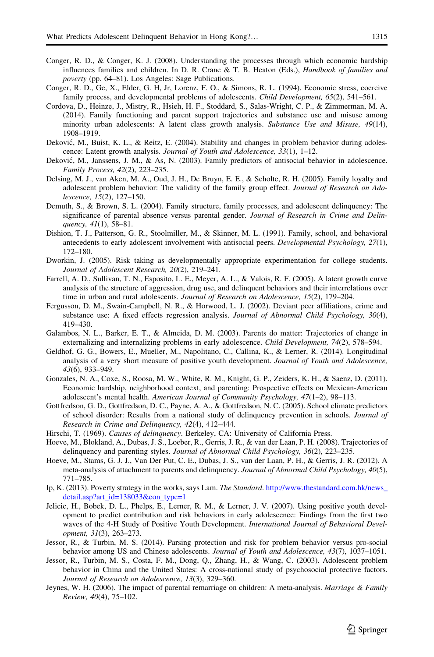- <span id="page-24-0"></span>Conger, R. D., & Conger, K. J. (2008). Understanding the processes through which economic hardship influences families and children. In D. R. Crane & T. B. Heaton (Eds.), *Handbook of families and* poverty (pp. 64–81). Los Angeles: Sage Publications.
- Conger, R. D., Ge, X., Elder, G. H, Jr, Lorenz, F. O., & Simons, R. L. (1994). Economic stress, coercive family process, and developmental problems of adolescents. Child Development, 65(2), 541–561.
- Cordova, D., Heinze, J., Mistry, R., Hsieh, H. F., Stoddard, S., Salas-Wright, C. P., & Zimmerman, M. A. (2014). Family functioning and parent support trajectories and substance use and misuse among minority urban adolescents: A latent class growth analysis. Substance Use and Misuse, 49(14), 1908–1919.
- Deković, M., Buist, K. L., & Reitz, E. (2004). Stability and changes in problem behavior during adolescence: Latent growth analysis. Journal of Youth and Adolescence, 33(1), 1–12.
- Deković, M., Janssens, J. M., & As, N. (2003). Family predictors of antisocial behavior in adolescence. Family Process, 42(2), 223–235.
- Delsing, M. J., van Aken, M. A., Oud, J. H., De Bruyn, E. E., & Scholte, R. H. (2005). Family loyalty and adolescent problem behavior: The validity of the family group effect. Journal of Research on Adolescence, 15(2), 127–150.
- Demuth, S., & Brown, S. L. (2004). Family structure, family processes, and adolescent delinquency: The significance of parental absence versus parental gender. Journal of Research in Crime and Delinquency,  $41(1)$ , 58-81.
- Dishion, T. J., Patterson, G. R., Stoolmiller, M., & Skinner, M. L. (1991). Family, school, and behavioral antecedents to early adolescent involvement with antisocial peers. Developmental Psychology, 27(1), 172–180.
- Dworkin, J. (2005). Risk taking as developmentally appropriate experimentation for college students. Journal of Adolescent Research, 20(2), 219–241.
- Farrell, A. D., Sullivan, T. N., Esposito, L. E., Meyer, A. L., & Valois, R. F. (2005). A latent growth curve analysis of the structure of aggression, drug use, and delinquent behaviors and their interrelations over time in urban and rural adolescents. Journal of Research on Adolescence, 15(2), 179–204.
- Fergusson, D. M., Swain-Campbell, N. R., & Horwood, L. J. (2002). Deviant peer affiliations, crime and substance use: A fixed effects regression analysis. Journal of Abnormal Child Psychology, 30(4), 419–430.
- Galambos, N. L., Barker, E. T., & Almeida, D. M. (2003). Parents do matter: Trajectories of change in externalizing and internalizing problems in early adolescence. Child Development, 74(2), 578–594.
- Geldhof, G. G., Bowers, E., Mueller, M., Napolitano, C., Callina, K., & Lerner, R. (2014). Longitudinal analysis of a very short measure of positive youth development. Journal of Youth and Adolescence, 43(6), 933–949.
- Gonzales, N. A., Coxe, S., Roosa, M. W., White, R. M., Knight, G. P., Zeiders, K. H., & Saenz, D. (2011). Economic hardship, neighborhood context, and parenting: Prospective effects on Mexican-American adolescent's mental health. American Journal of Community Psychology, 47(1–2), 98–113.
- Gottfredson, G. D., Gottfredson, D. C., Payne, A. A., & Gottfredson, N. C. (2005). School climate predictors of school disorder: Results from a national study of delinquency prevention in schools. Journal of Research in Crime and Delinquency, 42(4), 412–444.
- Hirschi, T. (1969). *Causes of delinquency*. Berkeley, CA: University of California Press.
- Hoeve, M., Blokland, A., Dubas, J. S., Loeber, R., Gerris, J. R., & van der Laan, P. H. (2008). Trajectories of delinquency and parenting styles. Journal of Abnormal Child Psychology, 36(2), 223–235.
- Hoeve, M., Stams, G. J. J., Van Der Put, C. E., Dubas, J. S., van der Laan, P. H., & Gerris, J. R. (2012). A meta-analysis of attachment to parents and delinquency. Journal of Abnormal Child Psychology, 40(5), 771–785.
- Ip, K. (2013). Poverty strategy in the works, says Lam. The Standard. [http://www.thestandard.com.hk/news\\_](http://www.thestandard.com.hk/news_detail.asp%3fart_id%3d138033%26con_type%3d1) [detail.asp?art\\_id=138033&con\\_type=1](http://www.thestandard.com.hk/news_detail.asp%3fart_id%3d138033%26con_type%3d1)
- Jelicic, H., Bobek, D. L., Phelps, E., Lerner, R. M., & Lerner, J. V. (2007). Using positive youth development to predict contribution and risk behaviors in early adolescence: Findings from the first two waves of the 4-H Study of Positive Youth Development. International Journal of Behavioral Development, 31(3), 263–273.
- Jessor, R., & Turbin, M. S. (2014). Parsing protection and risk for problem behavior versus pro-social behavior among US and Chinese adolescents. Journal of Youth and Adolescence, 43(7), 1037–1051.
- Jessor, R., Turbin, M. S., Costa, F. M., Dong, Q., Zhang, H., & Wang, C. (2003). Adolescent problem behavior in China and the United States: A cross-national study of psychosocial protective factors. Journal of Research on Adolescence, 13(3), 329–360.
- Jeynes, W. H. (2006). The impact of parental remarriage on children: A meta-analysis. Marriage & Family Review, 40(4), 75–102.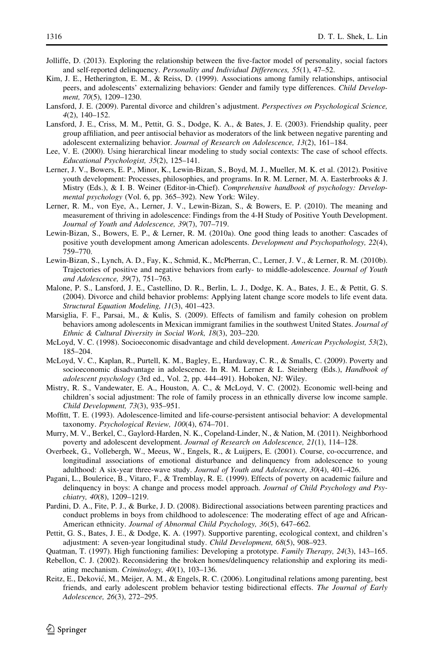- <span id="page-25-0"></span>Jolliffe, D. (2013). Exploring the relationship between the five-factor model of personality, social factors and self-reported delinquency. Personality and Individual Differences, 55(1), 47–52.
- Kim, J. E., Hetherington, E. M., & Reiss, D. (1999). Associations among family relationships, antisocial peers, and adolescents' externalizing behaviors: Gender and family type differences. Child Development, 70(5), 1209–1230.
- Lansford, J. E. (2009). Parental divorce and children's adjustment. Perspectives on Psychological Science, 4(2), 140–152.
- Lansford, J. E., Criss, M. M., Pettit, G. S., Dodge, K. A., & Bates, J. E. (2003). Friendship quality, peer group affiliation, and peer antisocial behavior as moderators of the link between negative parenting and adolescent externalizing behavior. Journal of Research on Adolescence, 13(2), 161–184.
- Lee, V. E. (2000). Using hierarchical linear modeling to study social contexts: The case of school effects. Educational Psychologist, 35(2), 125–141.
- Lerner, J. V., Bowers, E. P., Minor, K., Lewin-Bizan, S., Boyd, M. J., Mueller, M. K. et al. (2012). Positive youth development: Processes, philosophies, and programs. In R. M. Lerner, M. A. Easterbrooks & J. Mistry (Eds.), & I. B. Weiner (Editor-in-Chief). Comprehensive handbook of psychology: Developmental psychology (Vol. 6, pp. 365–392). New York: Wiley.
- Lerner, R. M., von Eye, A., Lerner, J. V., Lewin-Bizan, S., & Bowers, E. P. (2010). The meaning and measurement of thriving in adolescence: Findings from the 4-H Study of Positive Youth Development. Journal of Youth and Adolescence, 39(7), 707–719.
- Lewin-Bizan, S., Bowers, E. P., & Lerner, R. M. (2010a). One good thing leads to another: Cascades of positive youth development among American adolescents. Development and Psychopathology, 22(4), 759–770.
- Lewin-Bizan, S., Lynch, A. D., Fay, K., Schmid, K., McPherran, C., Lerner, J. V., & Lerner, R. M. (2010b). Trajectories of positive and negative behaviors from early- to middle-adolescence. Journal of Youth and Adolescence, 39(7), 751–763.
- Malone, P. S., Lansford, J. E., Castellino, D. R., Berlin, L. J., Dodge, K. A., Bates, J. E., & Pettit, G. S. (2004). Divorce and child behavior problems: Applying latent change score models to life event data. Structural Equation Modeling, 11(3), 401–423.
- Marsiglia, F. F., Parsai, M., & Kulis, S. (2009). Effects of familism and family cohesion on problem behaviors among adolescents in Mexican immigrant families in the southwest United States. Journal of Ethnic & Cultural Diversity in Social Work, 18(3), 203–220.
- McLoyd, V. C. (1998). Socioeconomic disadvantage and child development. American Psychologist, 53(2), 185–204.
- McLoyd, V. C., Kaplan, R., Purtell, K. M., Bagley, E., Hardaway, C. R., & Smalls, C. (2009). Poverty and socioeconomic disadvantage in adolescence. In R. M. Lerner & L. Steinberg (Eds.), *Handbook of* adolescent psychology (3rd ed., Vol. 2, pp. 444–491). Hoboken, NJ: Wiley.
- Mistry, R. S., Vandewater, E. A., Houston, A. C., & McLoyd, V. C. (2002). Economic well-being and children's social adjustment: The role of family process in an ethnically diverse low income sample. Child Development, 73(3), 935–951.
- Moffitt, T. E. (1993). Adolescence-limited and life-course-persistent antisocial behavior: A developmental taxonomy. Psychological Review, 100(4), 674–701.
- Murry, M. V., Berkel, C., Gaylord-Harden, N. K., Copeland-Linder, N., & Nation, M. (2011). Neighborhood poverty and adolescent development. Journal of Research on Adolescence, 21(1), 114–128.
- Overbeek, G., Vollebergh, W., Meeus, W., Engels, R., & Luijpers, E. (2001). Course, co-occurrence, and longitudinal associations of emotional disturbance and delinquency from adolescence to young adulthood: A six-year three-wave study. Journal of Youth and Adolescence, 30(4), 401–426.
- Pagani, L., Boulerice, B., Vitaro, F., & Tremblay, R. E. (1999). Effects of poverty on academic failure and delinquency in boys: A change and process model approach. Journal of Child Psychology and Psychiatry, 40(8), 1209–1219.
- Pardini, D. A., Fite, P. J., & Burke, J. D. (2008). Bidirectional associations between parenting practices and conduct problems in boys from childhood to adolescence: The moderating effect of age and African-American ethnicity. Journal of Abnormal Child Psychology, 36(5), 647–662.
- Pettit, G. S., Bates, J. E., & Dodge, K. A. (1997). Supportive parenting, ecological context, and children's adjustment: A seven-year longitudinal study. Child Development, 68(5), 908–923.
- Quatman, T. (1997). High functioning families: Developing a prototype. Family Therapy, 24(3), 143–165.
- Rebellon, C. J. (2002). Reconsidering the broken homes/delinquency relationship and exploring its mediating mechanism. Criminology, 40(1), 103–136.
- Reitz, E., Deković, M., Meijer, A. M., & Engels, R. C. (2006). Longitudinal relations among parenting, best friends, and early adolescent problem behavior testing bidirectional effects. The Journal of Early Adolescence, 26(3), 272–295.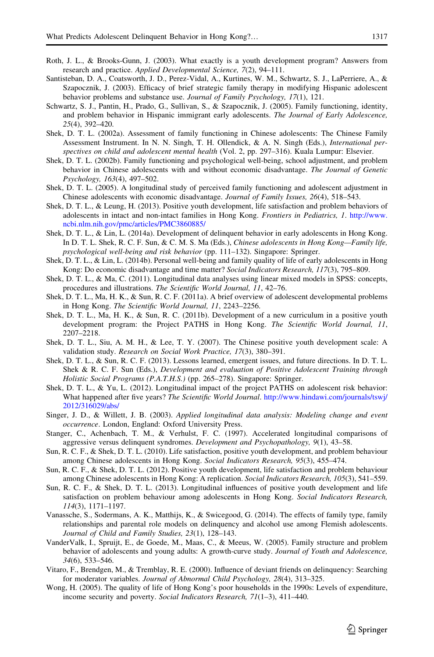- <span id="page-26-0"></span>Roth, J. L., & Brooks-Gunn, J. (2003). What exactly is a youth development program? Answers from research and practice. Applied Developmental Science, 7(2), 94–111.
- Santisteban, D. A., Coatsworth, J. D., Perez-Vidal, A., Kurtines, W. M., Schwartz, S. J., LaPerriere, A., & Szapocznik, J. (2003). Efficacy of brief strategic family therapy in modifying Hispanic adolescent behavior problems and substance use. Journal of Family Psychology, 17(1), 121.
- Schwartz, S. J., Pantin, H., Prado, G., Sullivan, S., & Szapocznik, J. (2005). Family functioning, identity, and problem behavior in Hispanic immigrant early adolescents. The Journal of Early Adolescence, 25(4), 392–420.
- Shek, D. T. L. (2002a). Assessment of family functioning in Chinese adolescents: The Chinese Family Assessment Instrument. In N. N. Singh, T. H. Ollendick, & A. N. Singh (Eds.), International perspectives on child and adolescent mental health (Vol. 2, pp. 297-316). Kuala Lumpur: Elsevier.
- Shek, D. T. L. (2002b). Family functioning and psychological well-being, school adjustment, and problem behavior in Chinese adolescents with and without economic disadvantage. The Journal of Genetic Psychology, 163(4), 497–502.
- Shek, D. T. L. (2005). A longitudinal study of perceived family functioning and adolescent adjustment in Chinese adolescents with economic disadvantage. Journal of Family Issues, 26(4), 518–543.
- Shek, D. T. L., & Leung, H. (2013). Positive youth development, life satisfaction and problem behaviors of adolescents in intact and non-intact families in Hong Kong. Frontiers in Pediatrics, 1. [http://www.](http://www.ncbi.nlm.nih.gov/pmc/articles/PMC3860885/) [ncbi.nlm.nih.gov/pmc/articles/PMC3860885/](http://www.ncbi.nlm.nih.gov/pmc/articles/PMC3860885/)
- Shek, D. T. L., & Lin, L. (2014a). Development of delinquent behavior in early adolescents in Hong Kong. In D. T. L. Shek, R. C. F. Sun, & C. M. S. Ma (Eds.), Chinese adolescents in Hong Kong—Family life, psychological well-being and risk behavior (pp. 111–132). Singapore: Springer.
- Shek, D. T. L., & Lin, L. (2014b). Personal well-being and family quality of life of early adolescents in Hong Kong: Do economic disadvantage and time matter? Social Indicators Research, 117(3), 795–809.
- Shek, D. T. L., & Ma, C. (2011). Longitudinal data analyses using linear mixed models in SPSS: concepts, procedures and illustrations. The Scientific World Journal, 11, 42–76.
- Shek, D. T. L., Ma, H. K., & Sun, R. C. F. (2011a). A brief overview of adolescent developmental problems in Hong Kong. The Scientific World Journal, 11, 2243–2256.
- Shek, D. T. L., Ma, H. K., & Sun, R. C. (2011b). Development of a new curriculum in a positive youth development program: the Project PATHS in Hong Kong. The Scientific World Journal, 11, 2207–2218.
- Shek, D. T. L., Siu, A. M. H., & Lee, T. Y. (2007). The Chinese positive youth development scale: A validation study. Research on Social Work Practice, 17(3), 380–391.
- Shek, D. T. L., & Sun, R. C. F. (2013). Lessons learned, emergent issues, and future directions. In D. T. L. Shek & R. C. F. Sun (Eds.), Development and evaluation of Positive Adolescent Training through Holistic Social Programs (P.A.T.H.S.) (pp. 265–278). Singapore: Springer.
- Shek, D. T. L., & Yu, L. (2012). Longitudinal impact of the project PATHS on adolescent risk behavior: What happened after five years? The Scientific World Journal. [http://www.hindawi.com/journals/tswj/](http://www.hindawi.com/journals/tswj/2012/316029/abs/) [2012/316029/abs/](http://www.hindawi.com/journals/tswj/2012/316029/abs/)
- Singer, J. D., & Willett, J. B. (2003). Applied longitudinal data analysis: Modeling change and event occurrence. London, England: Oxford University Press.
- Stanger, C., Achenbach, T. M., & Verhulst, F. C. (1997). Accelerated longitudinal comparisons of aggressive versus delinquent syndromes. Development and Psychopathology, 9(1), 43–58.
- Sun, R. C. F., & Shek, D. T. L. (2010). Life satisfaction, positive youth development, and problem behaviour among Chinese adolescents in Hong Kong. Social Indicators Research, 95(3), 455–474.
- Sun, R. C. F., & Shek, D. T. L. (2012). Positive youth development, life satisfaction and problem behaviour among Chinese adolescents in Hong Kong: A replication. Social Indicators Research, 105(3), 541–559.
- Sun, R. C. F., & Shek, D. T. L. (2013). Longitudinal influences of positive youth development and life satisfaction on problem behaviour among adolescents in Hong Kong. Social Indicators Research, 114(3), 1171–1197.
- Vanassche, S., Sodermans, A. K., Matthijs, K., & Swicegood, G. (2014). The effects of family type, family relationships and parental role models on delinquency and alcohol use among Flemish adolescents. Journal of Child and Family Studies, 23(1), 128–143.
- VanderValk, I., Spruijt, E., de Goede, M., Maas, C., & Meeus, W. (2005). Family structure and problem behavior of adolescents and young adults: A growth-curve study. Journal of Youth and Adolescence, 34(6), 533–546.
- Vitaro, F., Brendgen, M., & Tremblay, R. E. (2000). Influence of deviant friends on delinquency: Searching for moderator variables. Journal of Abnormal Child Psychology, 28(4), 313–325.
- Wong, H. (2005). The quality of life of Hong Kong's poor households in the 1990s: Levels of expenditure, income security and poverty. Social Indicators Research, 71(1–3), 411–440.